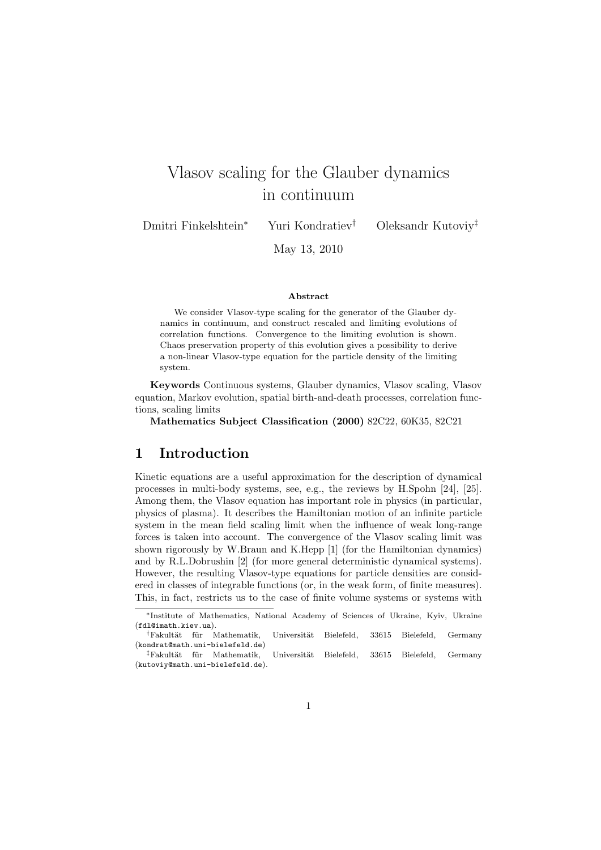# Vlasov scaling for the Glauber dynamics in continuum

Dmitri Finkelshtein<sup>∗</sup> Yuri Kondratiev† Oleksandr Kutoviy‡

May 13, 2010

#### Abstract

We consider Vlasov-type scaling for the generator of the Glauber dynamics in continuum, and construct rescaled and limiting evolutions of correlation functions. Convergence to the limiting evolution is shown. Chaos preservation property of this evolution gives a possibility to derive a non-linear Vlasov-type equation for the particle density of the limiting system.

Keywords Continuous systems, Glauber dynamics, Vlasov scaling, Vlasov equation, Markov evolution, spatial birth-and-death processes, correlation functions, scaling limits

Mathematics Subject Classification (2000) 82C22, 60K35, 82C21

## 1 Introduction

Kinetic equations are a useful approximation for the description of dynamical processes in multi-body systems, see, e.g., the reviews by H.Spohn [24], [25]. Among them, the Vlasov equation has important role in physics (in particular, physics of plasma). It describes the Hamiltonian motion of an infinite particle system in the mean field scaling limit when the influence of weak long-range forces is taken into account. The convergence of the Vlasov scaling limit was shown rigorously by W.Braun and K.Hepp [1] (for the Hamiltonian dynamics) and by R.L.Dobrushin [2] (for more general deterministic dynamical systems). However, the resulting Vlasov-type equations for particle densities are considered in classes of integrable functions (or, in the weak form, of finite measures). This, in fact, restricts us to the case of finite volume systems or systems with

<sup>∗</sup>Institute of Mathematics, National Academy of Sciences of Ukraine, Kyiv, Ukraine (fdl@imath.kiev.ua).

<sup>&</sup>lt;sup>†</sup>Fakultät für Mathematik, Universität Bielefeld, 33615 Bielefeld, Germany (kondrat@math.uni-bielefeld.de)

<sup>&</sup>lt;sup>‡</sup>Fakultät für Mathematik, Universität Bielefeld, 33615 Bielefeld, Germany (kutoviy@math.uni-bielefeld.de).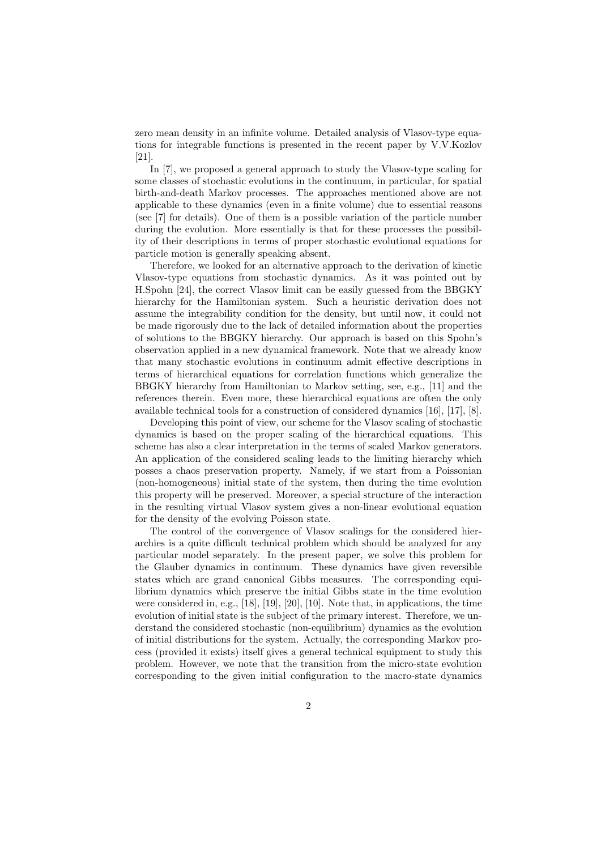zero mean density in an infinite volume. Detailed analysis of Vlasov-type equations for integrable functions is presented in the recent paper by V.V.Kozlov [21].

In [7], we proposed a general approach to study the Vlasov-type scaling for some classes of stochastic evolutions in the continuum, in particular, for spatial birth-and-death Markov processes. The approaches mentioned above are not applicable to these dynamics (even in a finite volume) due to essential reasons (see [7] for details). One of them is a possible variation of the particle number during the evolution. More essentially is that for these processes the possibility of their descriptions in terms of proper stochastic evolutional equations for particle motion is generally speaking absent.

Therefore, we looked for an alternative approach to the derivation of kinetic Vlasov-type equations from stochastic dynamics. As it was pointed out by H.Spohn [24], the correct Vlasov limit can be easily guessed from the BBGKY hierarchy for the Hamiltonian system. Such a heuristic derivation does not assume the integrability condition for the density, but until now, it could not be made rigorously due to the lack of detailed information about the properties of solutions to the BBGKY hierarchy. Our approach is based on this Spohn's observation applied in a new dynamical framework. Note that we already know that many stochastic evolutions in continuum admit effective descriptions in terms of hierarchical equations for correlation functions which generalize the BBGKY hierarchy from Hamiltonian to Markov setting, see, e.g., [11] and the references therein. Even more, these hierarchical equations are often the only available technical tools for a construction of considered dynamics [16], [17], [8].

Developing this point of view, our scheme for the Vlasov scaling of stochastic dynamics is based on the proper scaling of the hierarchical equations. This scheme has also a clear interpretation in the terms of scaled Markov generators. An application of the considered scaling leads to the limiting hierarchy which posses a chaos preservation property. Namely, if we start from a Poissonian (non-homogeneous) initial state of the system, then during the time evolution this property will be preserved. Moreover, a special structure of the interaction in the resulting virtual Vlasov system gives a non-linear evolutional equation for the density of the evolving Poisson state.

The control of the convergence of Vlasov scalings for the considered hierarchies is a quite difficult technical problem which should be analyzed for any particular model separately. In the present paper, we solve this problem for the Glauber dynamics in continuum. These dynamics have given reversible states which are grand canonical Gibbs measures. The corresponding equilibrium dynamics which preserve the initial Gibbs state in the time evolution were considered in, e.g., [18], [19], [20], [10]. Note that, in applications, the time evolution of initial state is the subject of the primary interest. Therefore, we understand the considered stochastic (non-equilibrium) dynamics as the evolution of initial distributions for the system. Actually, the corresponding Markov process (provided it exists) itself gives a general technical equipment to study this problem. However, we note that the transition from the micro-state evolution corresponding to the given initial configuration to the macro-state dynamics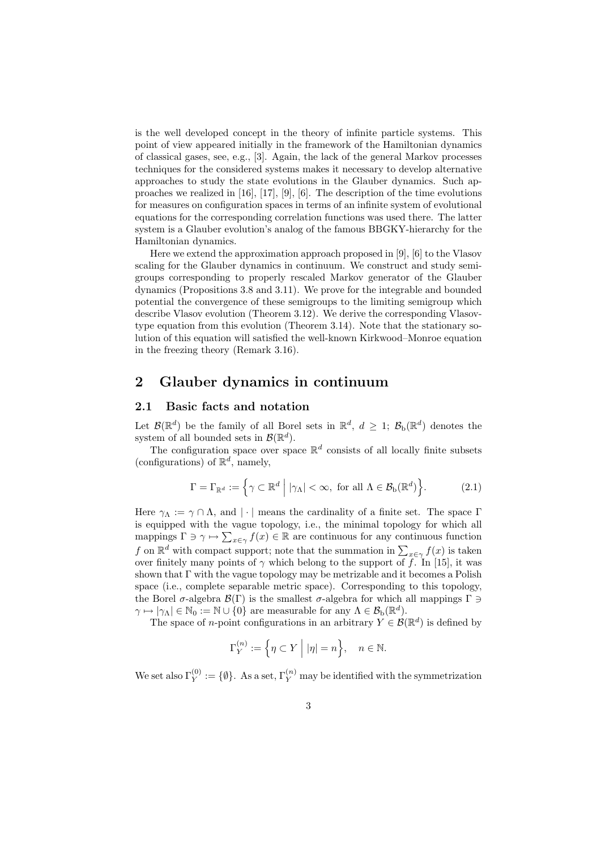is the well developed concept in the theory of infinite particle systems. This point of view appeared initially in the framework of the Hamiltonian dynamics of classical gases, see, e.g., [3]. Again, the lack of the general Markov processes techniques for the considered systems makes it necessary to develop alternative approaches to study the state evolutions in the Glauber dynamics. Such approaches we realized in [16], [17], [9], [6]. The description of the time evolutions for measures on configuration spaces in terms of an infinite system of evolutional equations for the corresponding correlation functions was used there. The latter system is a Glauber evolution's analog of the famous BBGKY-hierarchy for the Hamiltonian dynamics.

Here we extend the approximation approach proposed in [9], [6] to the Vlasov scaling for the Glauber dynamics in continuum. We construct and study semigroups corresponding to properly rescaled Markov generator of the Glauber dynamics (Propositions 3.8 and 3.11). We prove for the integrable and bounded potential the convergence of these semigroups to the limiting semigroup which describe Vlasov evolution (Theorem 3.12). We derive the corresponding Vlasovtype equation from this evolution (Theorem 3.14). Note that the stationary solution of this equation will satisfied the well-known Kirkwood–Monroe equation in the freezing theory (Remark 3.16).

## 2 Glauber dynamics in continuum

#### 2.1 Basic facts and notation

Let  $\mathcal{B}(\mathbb{R}^d)$  be the family of all Borel sets in  $\mathbb{R}^d$ ,  $d \geq 1$ ;  $\mathcal{B}_b(\mathbb{R}^d)$  denotes the system of all bounded sets in  $\mathcal{B}(\mathbb{R}^d)$ .

The configuration space over space  $\mathbb{R}^d$  consists of all locally finite subsets (configurations) of  $\mathbb{R}^d$ , namely,

$$
\Gamma = \Gamma_{\mathbb{R}^d} := \left\{ \gamma \subset \mathbb{R}^d \mid |\gamma_\Lambda| < \infty, \text{ for all } \Lambda \in \mathcal{B}_b(\mathbb{R}^d) \right\}.
$$
 (2.1)

Here  $\gamma_{\Lambda} := \gamma \cap \Lambda$ , and | · | means the cardinality of a finite set. The space  $\Gamma$ is equipped with the vague topology, i.e., the minimal topology for which all mappings  $\Gamma \ni \gamma \mapsto \sum_{x \in \gamma} f(x) \in \mathbb{R}$  are continuous for any continuous function f on  $\mathbb{R}^d$  with compact support; note that the summation in  $\sum_{x \in \gamma} f(x)$  is taken over finitely many points of  $\gamma$  which belong to the support of f. In [15], it was shown that  $\Gamma$  with the vague topology may be metrizable and it becomes a Polish space (i.e., complete separable metric space). Corresponding to this topology, the Borel  $\sigma$ -algebra  $\mathcal{B}(\Gamma)$  is the smallest  $\sigma$ -algebra for which all mappings  $\Gamma \ni$  $\gamma \mapsto |\gamma_{\Lambda}| \in \mathbb{N}_0 := \mathbb{N} \cup \{0\}$  are measurable for any  $\Lambda \in \mathcal{B}_{\text{b}}(\mathbb{R}^d)$ .

The space of *n*-point configurations in an arbitrary  $Y \in \mathcal{B}(\mathbb{R}^d)$  is defined by

$$
\Gamma_Y^{(n)} := \left\{ \eta \subset Y \mid |\eta| = n \right\}, \quad n \in \mathbb{N}.
$$

We set also  $\Gamma_Y^{(0)} := \{ \emptyset \}.$  As a set,  $\Gamma_Y^{(n)}$  may be identified with the symmetrization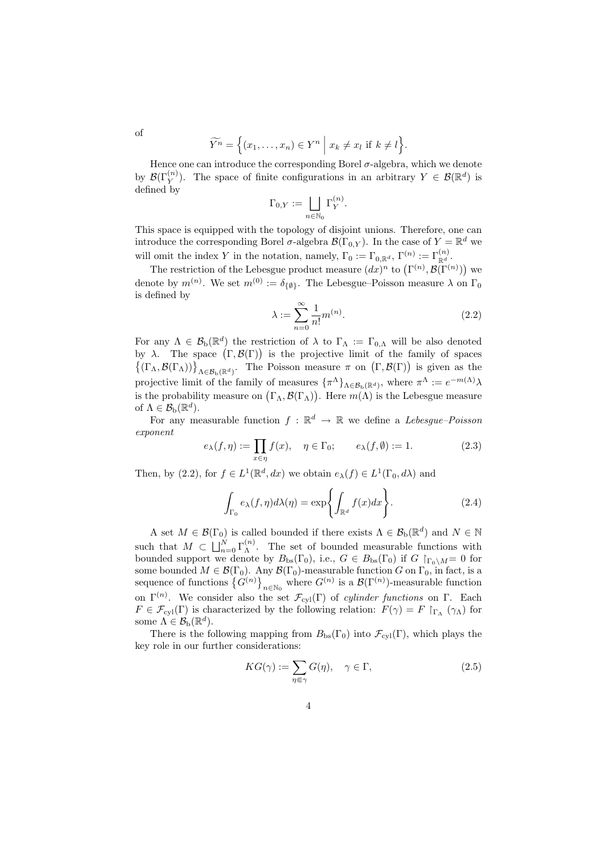$$
\widetilde{Y^n} = \Big\{ (x_1, \ldots, x_n) \in Y^n \mid x_k \neq x_l \text{ if } k \neq l \Big\}.
$$

Hence one can introduce the corresponding Borel  $\sigma$ -algebra, which we denote by  $\mathcal{B}(\Gamma_Y^{(n)})$ . The space of finite configurations in an arbitrary  $Y \in \mathcal{B}(\mathbb{R}^d)$  is defined by

$$
\Gamma_{0,Y} := \bigsqcup_{n \in \mathbb{N}_0} \Gamma_Y^{(n)}.
$$

This space is equipped with the topology of disjoint unions. Therefore, one can introduce the corresponding Borel  $\sigma$ -algebra  $\mathcal{B}(\Gamma_{0,Y})$ . In the case of  $Y = \mathbb{R}^d$  we will omit the index Y in the notation, namely,  $\Gamma_0 := \Gamma_{0,\mathbb{R}^d}$ ,  $\Gamma^{(n)} := \Gamma_{\mathbb{R}^d}^{(n)}$ .

The restriction of the Lebesgue product measure  $(dx)^n$  to  $(\Gamma^{(n)}, \mathcal{B}(\Gamma^{(n)}))$  we denote by  $m^{(n)}$ . We set  $m^{(0)} := \delta_{\{\emptyset\}}$ . The Lebesgue–Poisson measure  $\lambda$  on  $\Gamma_0$ is defined by

$$
\lambda := \sum_{n=0}^{\infty} \frac{1}{n!} m^{(n)}.
$$
\n(2.2)

For any  $\Lambda \in \mathcal{B}_{\rm b}(\mathbb{R}^d)$  the restriction of  $\lambda$  to  $\Gamma_{\Lambda} := \Gamma_{0,\Lambda}$  will be also denoted by  $\lambda$ . The space  $(\Gamma, \mathcal{B}(\Gamma))$  is the projective limit of the family of spaces  $\{(\Gamma_{\Lambda}, \mathcal{B}(\Gamma_{\Lambda}))\}_{\Lambda \in \mathcal{B}_{b}(\mathbb{R}^{d})}$ . The Poisson measure  $\pi$  on  $(\Gamma, \mathcal{B}(\Gamma))$  is given as the projective limit of the family of measures  $\{\pi^{\Lambda}\}_{\Lambda \in \mathcal{B}_{b}(\mathbb{R}^{d})}$ , where  $\pi^{\Lambda} := e^{-m(\Lambda)}\lambda$ is the probability measure on  $(\Gamma_{\Lambda}, \mathcal{B}(\Gamma_{\Lambda}))$ . Here  $m(\Lambda)$  is the Lebesgue measure of  $\Lambda \in \mathcal{B}_{\mathrm{b}}(\mathbb{R}^d)$ .

For any measurable function  $f : \mathbb{R}^d \to \mathbb{R}$  we define a Lebesgue–Poisson exponent

$$
e_{\lambda}(f,\eta) := \prod_{x \in \eta} f(x), \quad \eta \in \Gamma_0; \qquad e_{\lambda}(f,\emptyset) := 1.
$$
 (2.3)

Then, by (2.2), for  $f \in L^1(\mathbb{R}^d, dx)$  we obtain  $e_\lambda(f) \in L^1(\Gamma_0, d\lambda)$  and

$$
\int_{\Gamma_0} e_\lambda(f,\eta) d\lambda(\eta) = \exp\left\{ \int_{\mathbb{R}^d} f(x) dx \right\}.
$$
 (2.4)

A set  $M \in \mathcal{B}(\Gamma_0)$  is called bounded if there exists  $\Lambda \in \mathcal{B}_b(\mathbb{R}^d)$  and  $N \in \mathbb{N}$ such that  $M \subset \bigsqcup_{n=0}^N \Gamma_{\Lambda}^{(n)}$  $\Lambda^{(n)}$ . The set of bounded measurable functions with bounded support we denote by  $B_{bs}(\Gamma_0)$ , i.e.,  $G \in B_{bs}(\Gamma_0)$  if  $G \upharpoonright_{\Gamma_0 \setminus M} = 0$  for some bounded  $M \in \mathcal{B}(\Gamma_0)$ . Any  $\mathcal{B}(\Gamma_0)$ -measurable function G on  $\Gamma_0$ , in fact, is a sequence of functions  ${G^{(n)}}_{n \in \mathbb{N}_0}$  where  $G^{(n)}$  is a  $\mathcal{B}(\Gamma^{(n)})$ -measurable function on  $\Gamma^{(n)}$ . We consider also the set  $\mathcal{F}_{cyl}(\Gamma)$  of *cylinder functions* on  $\Gamma$ . Each  $F \in \mathcal{F}_{cyl}(\Gamma)$  is characterized by the following relation:  $F(\gamma) = F \upharpoonright_{\Gamma_{\Lambda}} (\gamma_{\Lambda})$  for some  $\Lambda \in \mathcal{B}_{\mathrm{b}}(\mathbb{R}^d)$ .

There is the following mapping from  $B_{bs}(\Gamma_0)$  into  $\mathcal{F}_{cyl}(\Gamma)$ , which plays the key role in our further considerations:

$$
KG(\gamma) := \sum_{\eta \in \gamma} G(\eta), \quad \gamma \in \Gamma,
$$
\n(2.5)

of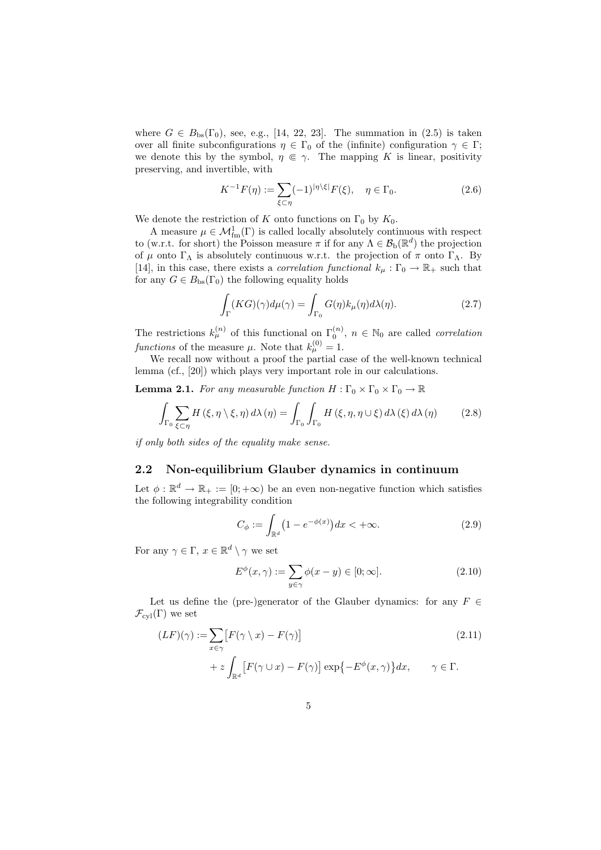where  $G \in B_{\text{bs}}(\Gamma_0)$ , see, e.g., [14, 22, 23]. The summation in (2.5) is taken over all finite subconfigurations  $\eta \in \Gamma_0$  of the (infinite) configuration  $\gamma \in \Gamma$ ; we denote this by the symbol,  $\eta \in \gamma$ . The mapping K is linear, positivity preserving, and invertible, with

$$
K^{-1}F(\eta) := \sum_{\xi \subset \eta} (-1)^{|\eta \setminus \xi|} F(\xi), \quad \eta \in \Gamma_0.
$$
 (2.6)

We denote the restriction of K onto functions on  $\Gamma_0$  by  $K_0$ .

A measure  $\mu \in \mathcal{M}_{\text{fm}}^1(\Gamma)$  is called locally absolutely continuous with respect to (w.r.t. for short) the Poisson measure  $\pi$  if for any  $\Lambda \in \mathcal{B}_{\rm b}(\mathbb{R}^d)$  the projection of  $\mu$  onto  $\Gamma_{\Lambda}$  is absolutely continuous w.r.t. the projection of  $\pi$  onto  $\Gamma_{\Lambda}$ . By [14], in this case, there exists a *correlation functional*  $k_{\mu} : \Gamma_0 \to \mathbb{R}_+$  such that for any  $G \in B_{\text{bs}}(\Gamma_0)$  the following equality holds

$$
\int_{\Gamma} (KG)(\gamma) d\mu(\gamma) = \int_{\Gamma_0} G(\eta) k_{\mu}(\eta) d\lambda(\eta). \tag{2.7}
$$

The restrictions  $k_{\mu}^{(n)}$  of this functional on  $\Gamma_0^{(n)}$ ,  $n \in \mathbb{N}_0$  are called *correlation* functions of the measure  $\mu$ . Note that  $k_{\mu}^{(0)} = 1$ .

We recall now without a proof the partial case of the well-known technical lemma (cf., [20]) which plays very important role in our calculations.

**Lemma 2.1.** For any measurable function  $H : \Gamma_0 \times \Gamma_0 \times \Gamma_0 \to \mathbb{R}$ 

$$
\int_{\Gamma_0} \sum_{\xi \subset \eta} H(\xi, \eta \setminus \xi, \eta) d\lambda(\eta) = \int_{\Gamma_0} \int_{\Gamma_0} H(\xi, \eta, \eta \cup \xi) d\lambda(\xi) d\lambda(\eta) \tag{2.8}
$$

if only both sides of the equality make sense.

#### 2.2 Non-equilibrium Glauber dynamics in continuum

Let  $\phi : \mathbb{R}^d \to \mathbb{R}_+ := [0, +\infty)$  be an even non-negative function which satisfies the following integrability condition

$$
C_{\phi} := \int_{\mathbb{R}^d} \left( 1 - e^{-\phi(x)} \right) dx < +\infty.
$$
 (2.9)

For any  $\gamma \in \Gamma$ ,  $x \in \mathbb{R}^d \setminus \gamma$  we set

$$
E^{\phi}(x,\gamma) := \sum_{y \in \gamma} \phi(x-y) \in [0;\infty].
$$
\n(2.10)

Let us define the (pre-)generator of the Glauber dynamics: for any  $F \in$  $\mathcal{F}_{\rm cvl}(\Gamma)$  we set

$$
(LF)(\gamma) := \sum_{x \in \gamma} [F(\gamma \setminus x) - F(\gamma)]
$$
  
+  $z \int_{\mathbb{R}^d} [F(\gamma \cup x) - F(\gamma)] \exp\{-E^{\phi}(x, \gamma)\} dx, \qquad \gamma \in \Gamma.$  (2.11)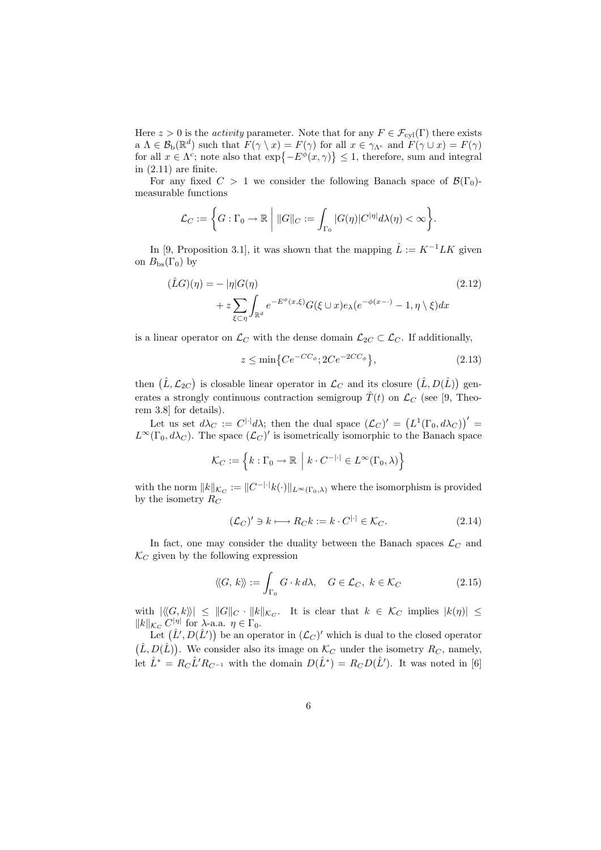Here  $z > 0$  is the *activity* parameter. Note that for any  $F \in \mathcal{F}_{cyl}(\Gamma)$  there exists a  $\Lambda \in \mathcal{B}_{\rm b}(\mathbb{R}^d)$  such that  $F(\gamma \setminus x) = F(\gamma)$  for all  $x \in \gamma_{\Lambda^c}$  and  $F(\gamma \cup x) = F(\gamma)$ for all  $x \in \Lambda^c$ ; note also that  $\exp\{-E^{\phi}(x,\gamma)\} \leq 1$ , therefore, sum and integral in  $(2.11)$  are finite.

For any fixed  $C > 1$  we consider the following Banach space of  $\mathcal{B}(\Gamma_0)$ measurable functions

$$
\mathcal{L}_C := \left\{ G : \Gamma_0 \to \mathbb{R} \; \middle| \; \|G\|_C := \int_{\Gamma_0} |G(\eta)| C^{|\eta|} d\lambda(\eta) < \infty \right\}.
$$

In [9, Proposition 3.1], it was shown that the mapping  $\hat{L} := K^{-1}LK$  given on  $B_{\text{bs}}(\Gamma_0)$  by

$$
(\hat{L}G)(\eta) = - |\eta|G(\eta)
$$
  
+  $z \sum_{\xi \subset \eta} \int_{\mathbb{R}^d} e^{-E^{\phi}(x,\xi)} G(\xi \cup x) e_{\lambda} (e^{-\phi(x-\cdot)} - 1, \eta \setminus \xi) dx$  (2.12)

is a linear operator on  $\mathcal{L}_C$  with the dense domain  $\mathcal{L}_{2C} \subset \mathcal{L}_C$ . If additionally,

$$
z \le \min\left\{Ce^{-CC_{\phi}}; 2Ce^{-2CC_{\phi}}\right\},\tag{2.13}
$$

then  $(\hat{L}, \mathcal{L}_{2C})$  is closable linear operator in  $\mathcal{L}_C$  and its closure  $(\hat{L}, D(\hat{L}))$  generates a strongly continuous contraction semigroup  $\hat{T}(t)$  on  $\mathcal{L}_C$  (see [9, Theorem 3.8] for details).

Let us set  $d\lambda_C := C^{\|\cdot\|} d\lambda$ ; then the dual space  $(\mathcal{L}_C)' = (L^1(\Gamma_0, d\lambda_C))' =$  $L^{\infty}(\Gamma_0, d\lambda_C)$ . The space  $(\mathcal{L}_C)'$  is isometrically isomorphic to the Banach space

$$
\mathcal{K}_C := \left\{ k : \Gamma_0 \to \mathbb{R} \middle| k \cdot C^{-|\cdot|} \in L^\infty(\Gamma_0, \lambda) \right\}
$$

with the norm  $||k||_{\mathcal{K}_C} := ||C^{-|\cdot|} k(\cdot)||_{L^\infty(\Gamma_0,\lambda)}$  where the isomorphism is provided by the isometry  $R_C$ 

$$
(\mathcal{L}_C)' \ni k \longmapsto R_C k := k \cdot C^{|\cdot|} \in \mathcal{K}_C. \tag{2.14}
$$

In fact, one may consider the duality between the Banach spaces  $\mathcal{L}_C$  and  $\mathcal{K}_C$  given by the following expression

$$
\langle\!\langle G, k \rangle\!\rangle := \int_{\Gamma_0} G \cdot k \, d\lambda, \quad G \in \mathcal{L}_C, \ k \in \mathcal{K}_C \tag{2.15}
$$

with  $|\langle\!\langle G, k\rangle\!\rangle| \leq ||G||_C \cdot ||k||_{\mathcal{K}_C}$ . It is clear that  $k \in \mathcal{K}_C$  implies  $|k(\eta)| \leq$  $||k||_{\mathcal{K}_C} C^{|\eta|}$  for  $\lambda$ -a.a.  $\eta \in \Gamma_0$ .

Let  $(\hat{L}', D(\hat{L}'))$  be an operator in  $(\mathcal{L}_C)'$  which is dual to the closed operator  $(\hat{L}, D(\hat{L}))$ . We consider also its image on  $\mathcal{K}_C$  under the isometry  $R_C$ , namely, let  $\hat{L}^* = R_C \hat{L}' R_{C^{-1}}$  with the domain  $D(\hat{L}^*) = R_C D(\hat{L}')$ . It was noted in [6]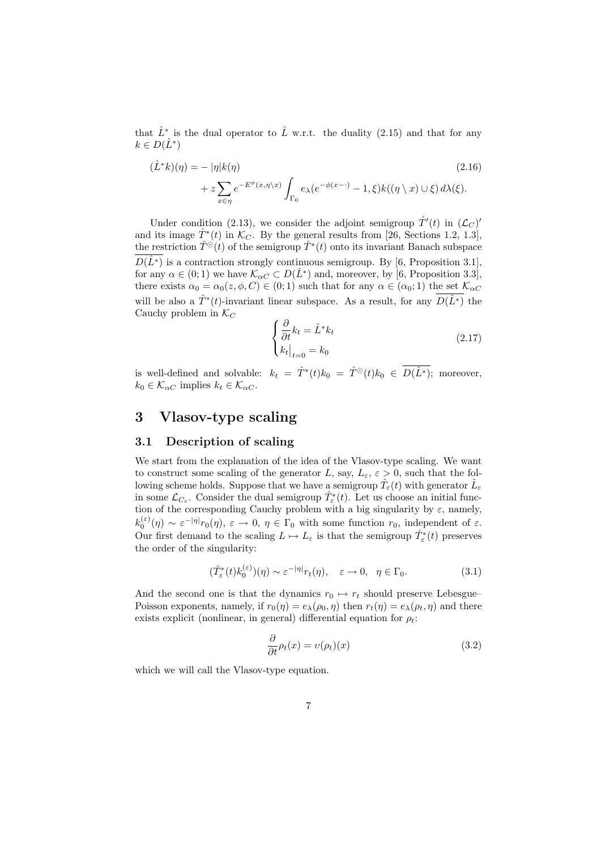that  $\hat{L}^*$  is the dual operator to  $\hat{L}$  w.r.t. the duality (2.15) and that for any  $k \in D(\hat{L}^*)$ 

$$
(\hat{L}^*k)(\eta) = - |\eta|k(\eta)
$$
\n
$$
+ z \sum_{x \in \eta} e^{-E^{\phi}(x,\eta \setminus x)} \int_{\Gamma_0} e_{\lambda}(e^{-\phi(x-\cdot)} - 1, \xi)k((\eta \setminus x) \cup \xi) d\lambda(\xi).
$$
\n(2.16)

Under condition (2.13), we consider the adjoint semigroup  $\hat{T}'(t)$  in  $(\mathcal{L}_C)$ and its image  $\hat{T}^*(t)$  in  $\mathcal{K}_C$ . By the general results from [26, Sections 1.2, 1.3], the restriction  $\hat{T}^{\odot}(t)$  of the semigroup  $\hat{T}^*(t)$  onto its invariant Banach subspace  $D(\hat{L}^*)$  is a contraction strongly continuous semigroup. By [6, Proposition 3.1], for any  $\alpha \in (0, 1)$  we have  $\mathcal{K}_{\alpha C} \subset D(\hat{L}^*)$  and, moreover, by [6, Proposition 3.3], there exists  $\alpha_0 = \alpha_0(z, \phi, C) \in (0, 1)$  such that for any  $\alpha \in (\alpha_0, 1)$  the set  $\mathcal{K}_{\alpha C}$ will be also a  $\hat{T}^*(t)$ -invariant linear subspace. As a result, for any  $D(\hat{L}^*)$  the Cauchy problem in  $\mathcal{K}_C$ 

$$
\begin{cases} \frac{\partial}{\partial t}k_t = \hat{L}^* k_t\\ k_t \big|_{t=0} = k_0 \end{cases}
$$
 (2.17)

is well-defined and solvable:  $k_t = \hat{T}^*(t)k_0 = \hat{T}^{\odot}(t)k_0 \in D(\hat{L}^*)$ ; moreover,  $k_0 \in \mathcal{K}_{\alpha C}$  implies  $k_t \in \mathcal{K}_{\alpha C}$ .

## 3 Vlasov-type scaling

#### 3.1 Description of scaling

We start from the explanation of the idea of the Vlasov-type scaling. We want to construct some scaling of the generator L, say,  $L_{\varepsilon}$ ,  $\varepsilon > 0$ , such that the following scheme holds. Suppose that we have a semigroup  $\hat{T}_{\varepsilon}(t)$  with generator  $\hat{L}_{\varepsilon}$ in some  $\mathcal{L}_{C_{\varepsilon}}$ . Consider the dual semigroup  $\hat{T}_{\varepsilon}^*(t)$ . Let us choose an initial function of the corresponding Cauchy problem with a big singularity by  $\varepsilon$ , namely,  $k_0^{(\varepsilon)}(\eta) \sim \varepsilon^{-|\eta|} r_0(\eta), \ \varepsilon \to 0, \ \eta \in \Gamma_0 \text{ with some function } r_0, \text{ independent of } \varepsilon.$ Our first demand to the scaling  $L \mapsto L_{\varepsilon}$  is that the semigroup  $\hat{T}_{\varepsilon}^*(t)$  preserves the order of the singularity:

$$
(\hat{T}_{\varepsilon}^*(t)k_0^{(\varepsilon)})(\eta) \sim \varepsilon^{-|\eta|}r_t(\eta), \quad \varepsilon \to 0, \quad \eta \in \Gamma_0.
$$
 (3.1)

And the second one is that the dynamics  $r_0 \mapsto r_t$  should preserve Lebesgue– Poisson exponents, namely, if  $r_0(\eta) = e_\lambda(\rho_0, \eta)$  then  $r_t(\eta) = e_\lambda(\rho_t, \eta)$  and there exists explicit (nonlinear, in general) differential equation for  $\rho_t$ :

$$
\frac{\partial}{\partial t}\rho_t(x) = v(\rho_t)(x) \tag{3.2}
$$

which we will call the Vlasov-type equation.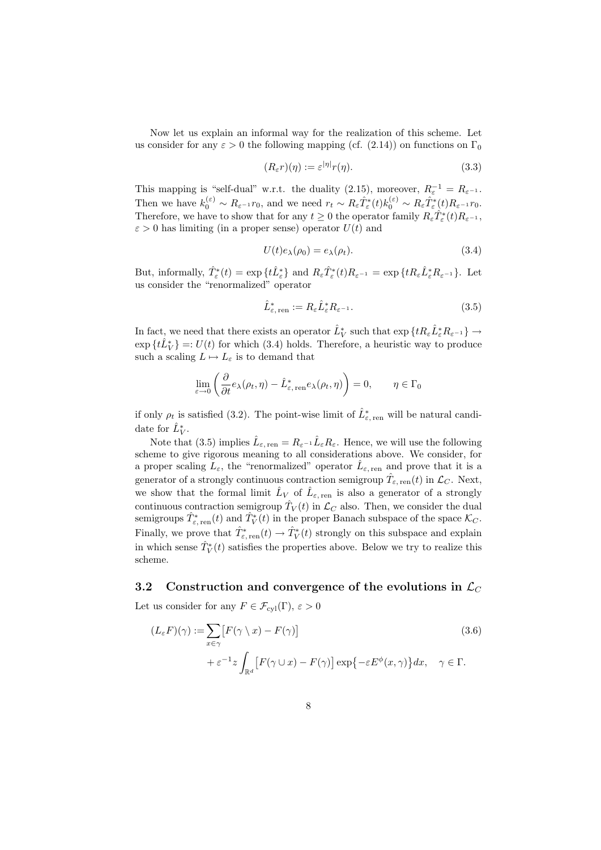Now let us explain an informal way for the realization of this scheme. Let us consider for any  $\varepsilon > 0$  the following mapping (cf. (2.14)) on functions on  $\Gamma_0$ 

$$
(R_{\varepsilon}r)(\eta) := \varepsilon^{|\eta|}r(\eta). \tag{3.3}
$$

This mapping is "self-dual" w.r.t. the duality (2.15), moreover,  $R_{\varepsilon}^{-1} = R_{\varepsilon^{-1}}$ . Then we have  $k_0^{(\varepsilon)} \sim R_{\varepsilon^{-1}} r_0$ , and we need  $r_t \sim R_{\varepsilon} \hat{T}_{\varepsilon}^*(t) k_0^{(\varepsilon)} \sim R_{\varepsilon} \hat{T}_{\varepsilon}^*(t) R_{\varepsilon^{-1}} r_0$ . Therefore, we have to show that for any  $t \geq 0$  the operator family  $R_{\varepsilon} \hat{T}_{\varepsilon}^*(t) R_{\varepsilon^{-1}}$ ,  $\varepsilon > 0$  has limiting (in a proper sense) operator  $U(t)$  and

$$
U(t)e_{\lambda}(\rho_0) = e_{\lambda}(\rho_t). \tag{3.4}
$$

But, informally,  $\hat{T}_{\varepsilon}^*(t) = \exp\{t\hat{L}_{\varepsilon}^*\}\$ and  $R_{\varepsilon}\hat{T}_{\varepsilon}^*(t)R_{\varepsilon^{-1}} = \exp\{tR_{\varepsilon}\hat{L}_{\varepsilon}^*R_{\varepsilon^{-1}}\}\.$  Let us consider the "renormalized" operator

$$
\hat{L}_{\varepsilon,\text{ ren}}^* := R_{\varepsilon} \hat{L}_{\varepsilon}^* R_{\varepsilon^{-1}}.
$$
\n(3.5)

In fact, we need that there exists an operator  $\hat{L}_V^*$  such that  $\exp\left\{tR_\varepsilon\hat{L}_\varepsilon^*R_{\varepsilon^{-1}}\right\}\to$  $\exp\{t\hat{L}_V^*\}=:U(t)$  for which (3.4) holds. Therefore, a heuristic way to produce such a scaling  $L \mapsto L_{\varepsilon}$  is to demand that

$$
\lim_{\varepsilon \to 0} \left( \frac{\partial}{\partial t} e_{\lambda}(\rho_t, \eta) - \hat{L}_{\varepsilon, \text{ren}}^* e_{\lambda}(\rho_t, \eta) \right) = 0, \qquad \eta \in \Gamma_0
$$

if only  $\rho_t$  is satisfied (3.2). The point-wise limit of  $\hat{L}^*_{\varepsilon, \text{ren}}$  will be natural candidate for  $\hat{L}_V^*$ .

Note that (3.5) implies  $\hat{L}_{\varepsilon, \text{ren}} = R_{\varepsilon^{-1}} \hat{L}_{\varepsilon} R_{\varepsilon}$ . Hence, we will use the following scheme to give rigorous meaning to all considerations above. We consider, for a proper scaling  $\bar{L}_{\varepsilon}$ , the "renormalized" operator  $\hat{L}_{\varepsilon, \text{ren}}$  and prove that it is a generator of a strongly continuous contraction semigroup  $\hat{T}_{\varepsilon, \text{ren}}(t)$  in  $\mathcal{L}_C$ . Next, we show that the formal limit  $\hat{L}_V$  of  $\hat{L}_{\varepsilon, \text{ren}}$  is also a generator of a strongly continuous contraction semigroup  $\hat{T}_V(t)$  in  $\mathcal{L}_C$  also. Then, we consider the dual semigroups  $\hat{T}_{\varepsilon,\text{ren}}^*(t)$  and  $\hat{T}_V^*(t)$  in the proper Banach subspace of the space  $\mathcal{K}_C$ . Finally, we prove that  $\hat{T}^*_{\varepsilon, \text{ren}}(t) \to \hat{T}^*_V(t)$  strongly on this subspace and explain in which sense  $\hat{T}_V^*(t)$  satisfies the properties above. Below we try to realize this scheme.

### 3.2 Construction and convergence of the evolutions in  $\mathcal{L}_C$

Let us consider for any  $F \in \mathcal{F}_{\text{cyl}}(\Gamma)$ ,  $\varepsilon > 0$ 

$$
(L_{\varepsilon}F)(\gamma) := \sum_{x \in \gamma} [F(\gamma \setminus x) - F(\gamma)]
$$
\n
$$
+ \varepsilon^{-1} z \int_{\mathbb{R}^d} [F(\gamma \cup x) - F(\gamma)] \exp\{-\varepsilon E^{\phi}(x, \gamma)\} dx, \quad \gamma \in \Gamma.
$$
\n(3.6)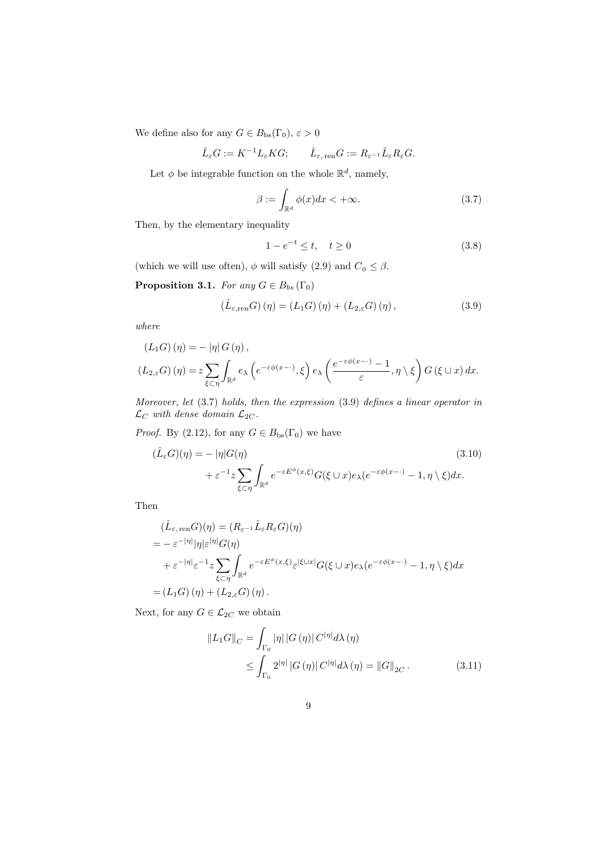We define also for any  $G \in B_{\text{bs}}(\Gamma_0)$ ,  $\varepsilon > 0$ 

$$
\hat{L}_{\varepsilon} G := K^{-1} L_{\varepsilon} K G; \qquad \hat{L}_{\varepsilon, \text{ ren}} G := R_{\varepsilon^{-1}} \hat{L}_{\varepsilon} R_{\varepsilon} G.
$$

Let  $\phi$  be integrable function on the whole  $\mathbb{R}^d$ , namely,

$$
\beta := \int_{\mathbb{R}^d} \phi(x) dx < +\infty.
$$
 (3.7)

Then, by the elementary inequality

$$
1 - e^{-t} \le t, \quad t \ge 0 \tag{3.8}
$$

(which we will use often),  $\phi$  will satisfy (2.9) and  $C_{\phi} \leq \beta$ .

**Proposition 3.1.** For any  $G \in B_{bs}(\Gamma_0)$ 

$$
(\hat{L}_{\varepsilon,\text{ren}}G)(\eta) = (L_1G)(\eta) + (L_{2,\varepsilon}G)(\eta), \qquad (3.9)
$$

where

$$
(L_1G)(\eta) = - |\eta| G(\eta),
$$
  

$$
(L_{2,\varepsilon}G)(\eta) = z \sum_{\xi \subset \eta} \int_{\mathbb{R}^d} e_\lambda \left( e^{-\varepsilon \phi(x-\cdot)}, \xi \right) e_\lambda \left( \frac{e^{-\varepsilon \phi(x-\cdot)} - 1}{\varepsilon}, \eta \setminus \xi \right) G(\xi \cup x) dx.
$$

Moreover, let (3.7) holds, then the expression (3.9) defines a linear operator in  $\mathcal{L}_C$  with dense domain  $\mathcal{L}_{2C}$ .

*Proof.* By (2.12), for any  $G \in B_{\text{bs}}(\Gamma_0)$  we have

$$
(\hat{L}_{\varepsilon}G)(\eta) = - |\eta|G(\eta)
$$
\n
$$
+ \varepsilon^{-1} z \sum_{\xi \subset \eta} \int_{\mathbb{R}^d} e^{-\varepsilon E^{\phi}(x,\xi)} G(\xi \cup x) e_{\lambda}(e^{-\varepsilon \phi(x-\cdot)} - 1, \eta \setminus \xi) dx.
$$
\n(3.10)

Then

$$
\begin{split}\n(\hat{L}_{\varepsilon,\text{ ren}} G)(\eta) &= (R_{\varepsilon^{-1}} \hat{L}_{\varepsilon} R_{\varepsilon} G)(\eta) \\
&= -\varepsilon^{-|\eta|} |\eta| \varepsilon^{|\eta|} G(\eta) \\
&+ \varepsilon^{-|\eta|} \varepsilon^{-1} z \sum_{\xi \subset \eta} \int_{\mathbb{R}^d} e^{-\varepsilon E^{\phi}(x,\xi)} \varepsilon^{|\xi \cup x|} G(\xi \cup x) e_{\lambda} (e^{-\varepsilon \phi(x-\cdot)} - 1, \eta \setminus \xi) dx \\
&= (L_1 G)(\eta) + (L_{2,\varepsilon} G)(\eta).\n\end{split}
$$

Next, for any  $G \in \mathcal{L}_{2C}$  we obtain

$$
||L_1 G||_C = \int_{\Gamma_0} |\eta| |G(\eta)| C^{|\eta|} d\lambda(\eta)
$$
  
\$\leq \int\_{\Gamma\_0} 2^{|\eta|} |G(\eta)| C^{|\eta|} d\lambda(\eta) = ||G||\_{2C}\$. \qquad (3.11)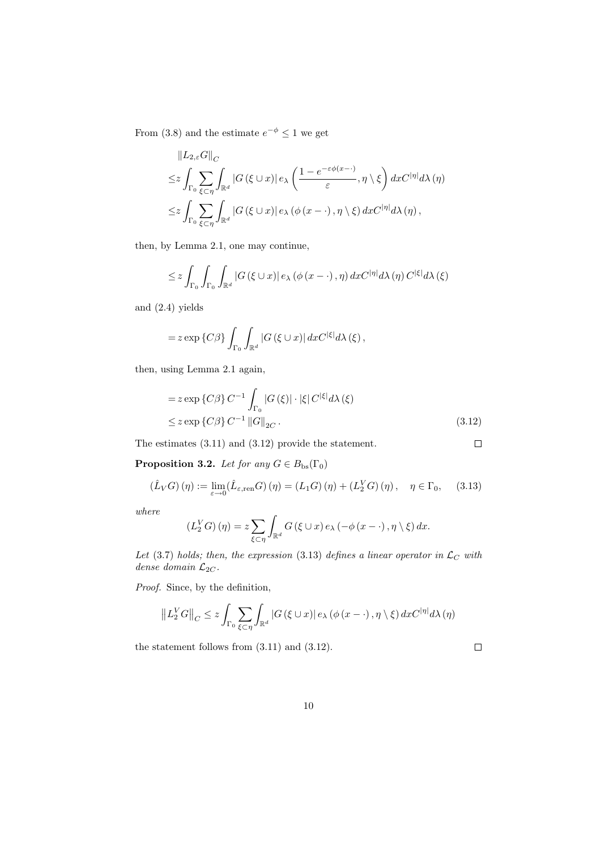From (3.8) and the estimate  $e^{-\phi} \leq 1$  we get

$$
\|L_{2,\varepsilon}G\|_{C}
$$
  
\n
$$
\leq z \int_{\Gamma_0} \sum_{\xi \subset \eta} \int_{\mathbb{R}^d} |G(\xi \cup x)| e_{\lambda} \left( \frac{1 - e^{-\varepsilon \phi(x - \cdot)}}{\varepsilon}, \eta \setminus \xi \right) dx C^{|\eta|} d\lambda(\eta)
$$
  
\n
$$
\leq z \int_{\Gamma_0} \sum_{\xi \subset \eta} \int_{\mathbb{R}^d} |G(\xi \cup x)| e_{\lambda} (\phi(x - \cdot), \eta \setminus \xi) dx C^{|\eta|} d\lambda(\eta),
$$

then, by Lemma 2.1, one may continue,

$$
\leq z \int_{\Gamma_{0}} \int_{\Gamma_{0}} \int_{\mathbb{R}^{d}} |G(\xi \cup x)| e_{\lambda} (\phi(x - \cdot), \eta) dx C^{|\eta|} d\lambda(\eta) C^{|\xi|} d\lambda(\xi)
$$

and (2.4) yields

$$
= z \exp \{C\beta\} \int_{\Gamma_0} \int_{\mathbb{R}^d} |G(\xi \cup x)| \, dx C^{|\xi|} d\lambda(\xi),
$$

then, using Lemma 2.1 again,

$$
= z \exp \{C\beta\} C^{-1} \int_{\Gamma_0} |G(\xi)| \cdot |\xi| C^{|\xi|} d\lambda(\xi)
$$
  

$$
\leq z \exp \{C\beta\} C^{-1} ||G||_{2C}.
$$
 (3.12)

The estimates (3.11) and (3.12) provide the statement.

**Proposition 3.2.** Let for any  $G \in B_{\text{bs}}(\Gamma_0)$ 

$$
(\hat{L}_V G)(\eta) := \lim_{\varepsilon \to 0} (\hat{L}_{\varepsilon, \text{ren}} G)(\eta) = (L_1 G)(\eta) + (L_2^V G)(\eta), \quad \eta \in \Gamma_0,\tag{3.13}
$$

where

$$
(L_2^V G)(\eta) = z \sum_{\xi \subset \eta} \int_{\mathbb{R}^d} G(\xi \cup x) e_\lambda(-\phi(x - \cdot), \eta \setminus \xi) dx.
$$

Let (3.7) holds; then, the expression (3.13) defines a linear operator in  $\mathcal{L}_C$  with dense domain  $\mathcal{L}_{2C}$ .

Proof. Since, by the definition,

$$
||L_2^V G||_C \leq z \int_{\Gamma_0} \sum_{\xi \subset \eta} \int_{\mathbb{R}^d} |G(\xi \cup x)| e_{\lambda} (\phi(x - \cdot), \eta \setminus \xi) dx C^{|\eta|} d\lambda(\eta)
$$

the statement follows from (3.11) and (3.12).

 $\Box$ 

 $\Box$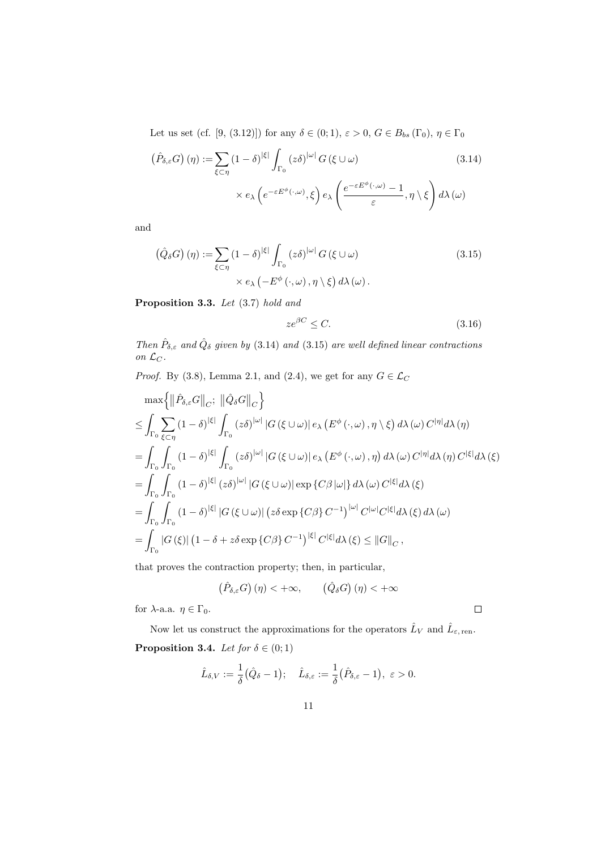Let us set (cf. [9, (3.12)]) for any  $\delta \in (0,1)$ ,  $\varepsilon > 0$ ,  $G \in B_{bs}(\Gamma_0)$ ,  $\eta \in \Gamma_0$ 

$$
\left(\hat{P}_{\delta,\varepsilon}G\right)(\eta) := \sum_{\xi \subset \eta} (1-\delta)^{|\xi|} \int_{\Gamma_0} (z\delta)^{|\omega|} G(\xi \cup \omega) \tag{3.14}
$$
\n
$$
\times e_{\lambda} \left(e^{-\varepsilon E^{\phi}(\cdot,\omega)}, \xi\right) e_{\lambda} \left(\frac{e^{-\varepsilon E^{\phi}(\cdot,\omega)} - 1}{\varepsilon}, \eta \setminus \xi\right) d\lambda(\omega)
$$

and

$$
\left(\hat{Q}_{\delta}G\right)(\eta) := \sum_{\xi \subset \eta} (1 - \delta)^{|\xi|} \int_{\Gamma_0} (z\delta)^{|\omega|} G(\xi \cup \omega) \tag{3.15}
$$
\n
$$
\times e_{\lambda} \left( -E^{\phi}\left(\cdot, \omega\right), \eta \setminus \xi \right) d\lambda(\omega).
$$

Proposition 3.3. Let  $(3.7)$  hold and

$$
ze^{\beta C} \le C. \tag{3.16}
$$

Then  $\hat{P}_{\delta,\varepsilon}$  and  $\hat{Q}_{\delta}$  given by (3.14) and (3.15) are well defined linear contractions on  $\mathcal{L}_C$ .

*Proof.* By (3.8), Lemma 2.1, and (2.4), we get for any  $G \in \mathcal{L}_C$ 

$$
\max \left\{ \left\|\hat{P}_{\delta,\varepsilon}G\right\|_{C}; \ \left\|\hat{Q}_{\delta}G\right\|_{C} \right\}
$$
\n
$$
\leq \int_{\Gamma_{0}} \sum_{\xi\subset\eta} (1-\delta)^{|\xi|} \int_{\Gamma_{0}} (z\delta)^{|\omega|} |G(\xi\cup\omega)| e_{\lambda} (E^{\phi}(\cdot,\omega),\eta\setminus\xi) d\lambda(\omega) C^{|\eta|} d\lambda(\eta)
$$
\n
$$
= \int_{\Gamma_{0}} \int_{\Gamma_{0}} (1-\delta)^{|\xi|} \int_{\Gamma_{0}} (z\delta)^{|\omega|} |G(\xi\cup\omega)| e_{\lambda} (E^{\phi}(\cdot,\omega),\eta) d\lambda(\omega) C^{|\eta|} d\lambda(\eta) C^{|\xi|} d\lambda(\xi)
$$
\n
$$
= \int_{\Gamma_{0}} \int_{\Gamma_{0}} (1-\delta)^{|\xi|} (z\delta)^{|\omega|} |G(\xi\cup\omega)| \exp\{C\beta|\omega|\} d\lambda(\omega) C^{|\xi|} d\lambda(\xi)
$$
\n
$$
= \int_{\Gamma_{0}} \int_{\Gamma_{0}} (1-\delta)^{|\xi|} |G(\xi\cup\omega)| (z\delta \exp\{C\beta\} C^{-1})^{|\omega|} C^{|\omega|} C^{|\xi|} d\lambda(\xi) d\lambda(\omega)
$$
\n
$$
= \int_{\Gamma_{0}} |G(\xi)| (1-\delta + z\delta \exp\{C\beta\} C^{-1})^{|\xi|} C^{|\xi|} d\lambda(\xi) \leq ||G||_{C},
$$

that proves the contraction property; then, in particular,

$$
\left(\hat{P}_{\delta,\varepsilon}G\right)(\eta) < +\infty, \qquad \left(\hat{Q}_{\delta}G\right)(\eta) < +\infty
$$

for  $\lambda$ -a.a.  $\eta \in \Gamma_0$ .

Now let us construct the approximations for the operators  $\hat{L}_V$  and  $\hat{L}_{\varepsilon, \text{ren}}$ . **Proposition 3.4.** Let for  $\delta \in (0,1)$ 

$$
\hat{L}_{\delta,V}:=\frac{1}{\delta}(\hat{Q}_{\delta}-1); \quad \hat{L}_{\delta,\varepsilon}:=\frac{1}{\delta}(\hat{P}_{\delta,\varepsilon}-1), \ \varepsilon>0.
$$

 $\Box$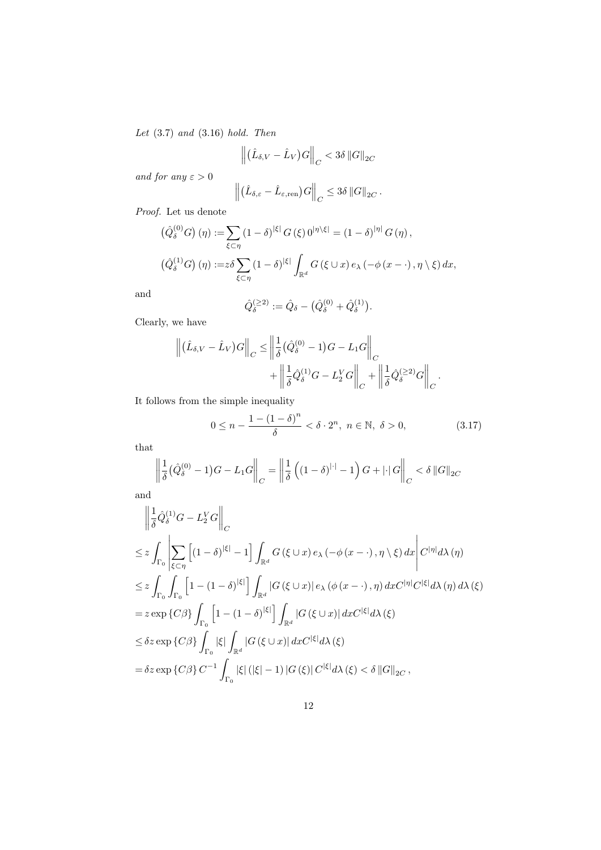Let  $(3.7)$  and  $(3.16)$  hold. Then

$$
\left\| \left( \hat{L}_{\delta,V} - \hat{L}_V \right)G \right\|_C < 3\delta \left\| G \right\|_{2C}
$$

and for any  $\varepsilon > 0$ 

$$
\left\| \left( \hat{L}_{\delta,\varepsilon} - \hat{L}_{\varepsilon,\text{ren}} \right) G \right\|_C \leq 3\delta \left\| G \right\|_{2C}.
$$

Proof. Let us denote

$$
\begin{aligned}\n\left(\hat{Q}_{\delta}^{(0)}G\right)(\eta) &:= \sum_{\xi \subset \eta} (1 - \delta)^{|\xi|} G(\xi) \, 0^{|\eta \setminus \xi|} = (1 - \delta)^{|\eta|} G(\eta)\,, \\
\left(\hat{Q}_{\delta}^{(1)}G\right)(\eta) &:= z\delta \sum_{\xi \subset \eta} (1 - \delta)^{|\xi|} \int_{\mathbb{R}^d} G(\xi \cup x) \, e_\lambda \left(-\phi\left(x - \cdot\right), \eta \setminus \xi\right) dx,\n\end{aligned}
$$

and

$$
\hat{Q}_{\delta}^{(\geq 2)} := \hat{Q}_{\delta} - (\hat{Q}_{\delta}^{(0)} + \hat{Q}_{\delta}^{(1)}).
$$

Clearly, we have

$$
\left\| \left( \hat{L}_{\delta,V} - \hat{L}_V \right)G \right\|_C \le \left\| \frac{1}{\delta} \left( \hat{Q}_{\delta}^{(0)} - 1 \right)G - L_1G \right\|_C + \left\| \frac{1}{\delta} \hat{Q}_{\delta}^{(1)}G - L_2^V G \right\|_C + \left\| \frac{1}{\delta} \hat{Q}_{\delta}^{(\geq 2)}G \right\|_C.
$$

It follows from the simple inequality

$$
0 \le n - \frac{1 - (1 - \delta)^n}{\delta} < \delta \cdot 2^n, \ n \in \mathbb{N}, \ \delta > 0,\tag{3.17}
$$

that

$$
\left\| \frac{1}{\delta} \left( \hat{Q}_{\delta}^{(0)} - 1 \right) G - L_1 G \right\|_{C} = \left\| \frac{1}{\delta} \left( \left( 1 - \delta \right)^{|\cdot|} - 1 \right) G + |\cdot| G \right\|_{C} < \delta \| G \|_{2C}
$$

and

$$
\left\| \frac{1}{\delta} \hat{Q}_{\delta}^{(1)} G - L_2^V G \right\|_{C}
$$
\n
$$
\leq z \int_{\Gamma_0} \left| \sum_{\xi \subset \eta} \left[ (1 - \delta)^{|\xi|} - 1 \right] \int_{\mathbb{R}^d} G(\xi \cup x) e_{\lambda} (-\phi(x - \cdot), \eta \setminus \xi) dx \right| C^{|\eta|} d\lambda(\eta)
$$
\n
$$
\leq z \int_{\Gamma_0} \int_{\Gamma_0} \left[ 1 - (1 - \delta)^{|\xi|} \right] \int_{\mathbb{R}^d} |G(\xi \cup x)| e_{\lambda} (\phi(x - \cdot), \eta) dx C^{|\eta|} C^{|\xi|} d\lambda(\eta) d\lambda(\xi)
$$
\n
$$
= z \exp \{ C\beta \} \int_{\Gamma_0} \left[ 1 - (1 - \delta)^{|\xi|} \right] \int_{\mathbb{R}^d} |G(\xi \cup x)| dx C^{|\xi|} d\lambda(\xi)
$$
\n
$$
\leq \delta z \exp \{ C\beta \} \int_{\Gamma_0} |\xi| \int_{\mathbb{R}^d} |G(\xi \cup x)| dx C^{|\xi|} d\lambda(\xi)
$$
\n
$$
= \delta z \exp \{ C\beta \} C^{-1} \int_{\Gamma_0} |\xi| (|\xi| - 1) |G(\xi)| C^{|\xi|} d\lambda(\xi) < \delta ||G||_{2C},
$$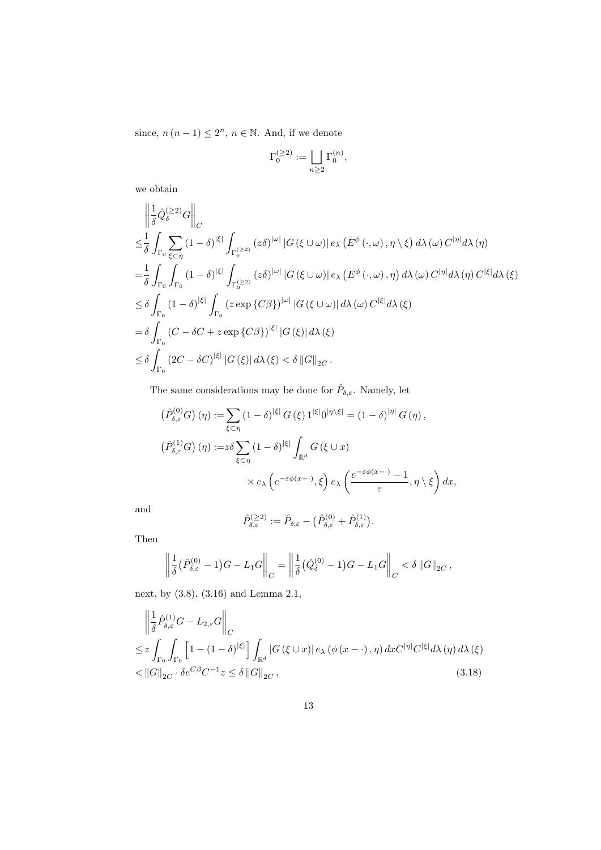since,  $n(n-1) \leq 2^n$ ,  $n \in \mathbb{N}$ . And, if we denote

$$
\Gamma_0^{(\geq 2)}:=\bigsqcup_{n\geq 2}\Gamma_0^{(n)},
$$

we obtain

$$
\begin{split}\n&\left\|\frac{1}{\delta}\hat{Q}_{\delta}^{(\geq2)}G\right\|_{C} \\
&\leq &\frac{1}{\delta}\int_{\Gamma_{0}}\sum_{\xi\subset\eta}(1-\delta)^{|\xi|}\int_{\Gamma_{0}^{(\geq2)}}(z\delta)^{|\omega|}\left|G\left(\xi\cup\omega\right)\right|e_{\lambda}\left(E^{\phi}\left(\cdot,\omega\right),\eta\setminus\xi\right)d\lambda\left(\omega\right)C^{|\eta|}d\lambda\left(\eta\right) \\
&=\notag\\
&\frac{1}{\delta}\int_{\Gamma_{0}}\int_{\Gamma_{0}}(1-\delta)^{|\xi|}\int_{\Gamma_{0}^{(\geq2)}}(z\delta)^{|\omega|}\left|G\left(\xi\cup\omega\right)\right|e_{\lambda}\left(E^{\phi}\left(\cdot,\omega\right),\eta\right)d\lambda\left(\omega\right)C^{|\eta|}d\lambda\left(\eta\right)C^{|\xi|}d\lambda\left(\xi\right) \\
&\leq &\delta\int_{\Gamma_{0}}(1-\delta)^{|\xi|}\int_{\Gamma_{0}}(z\exp\left\{C\beta\right\})^{|\omega|}\left|G\left(\xi\cup\omega\right)\right|d\lambda\left(\omega\right)C^{|\xi|}d\lambda\left(\xi\right) \\
&=\delta\int_{\Gamma_{0}}\left(C-\delta C+z\exp\left\{C\beta\right\}\right)^{|\xi|}\left|G\left(\xi\right)\right|d\lambda\left(\xi\right) \\
&\leq &\delta\int_{\Gamma_{0}}(2C-\delta C)^{|\xi|}\left|G\left(\xi\right)\right|d\lambda\left(\xi\right)<\delta\left\|G\right\|_{2C}.\n\end{split}
$$

The same considerations may be done for  $\hat{P}_{\delta,\varepsilon}$ . Namely, let

$$
\left(\hat{P}_{\delta,\varepsilon}^{(0)}G\right)(\eta) := \sum_{\xi\subset\eta} (1-\delta)^{|\xi|} G(\xi) 1^{|\xi|} 0^{|\eta\setminus\xi|} = (1-\delta)^{|\eta|} G(\eta),
$$
  

$$
\left(\hat{P}_{\delta,\varepsilon}^{(1)}G\right)(\eta) := z\delta \sum_{\xi\subset\eta} (1-\delta)^{|\xi|} \int_{\mathbb{R}^d} G(\xi \cup x)
$$
  

$$
\times e_{\lambda} \left(e^{-\varepsilon\phi(x-\cdot)}, \xi\right) e_{\lambda} \left(\frac{e^{-\varepsilon\phi(x-\cdot)}-1}{\varepsilon}, \eta \setminus \xi\right) dx,
$$

and

$$
\hat{P}_{\delta, \varepsilon}^{(\geq 2)}:=\hat{P}_{\delta, \varepsilon}-\big(\hat{P}_{\delta, \varepsilon}^{(0)}+\hat{P}_{\delta, \varepsilon}^{(1)}\big).
$$

Then

$$
\left\| \frac{1}{\delta} (\hat{P}_{\delta,\varepsilon}^{(0)} - 1) G - L_1 G \right\|_C = \left\| \frac{1}{\delta} (\hat{Q}_{\delta}^{(0)} - 1) G - L_1 G \right\|_C < \delta \|G\|_{2C},
$$

next, by (3.8), (3.16) and Lemma 2.1,

$$
\left\| \frac{1}{\delta} \hat{P}_{\delta,\varepsilon}^{(1)} G - L_{2,\varepsilon} G \right\|_{C}
$$
\n
$$
\leq z \int_{\Gamma_0} \int_{\Gamma_0} \left[ 1 - (1 - \delta)^{|\xi|} \right] \int_{\mathbb{R}^d} |G(\xi \cup x)| \, e_\lambda \left( \phi(x - \cdot), \eta \right) dx C^{|\eta|} C^{|\xi|} d\lambda(\eta) \, d\lambda(\xi)
$$
\n
$$
< \|G\|_{2C} \cdot \delta e^{C\beta} C^{-1} z \leq \delta \|G\|_{2C}, \tag{3.18}
$$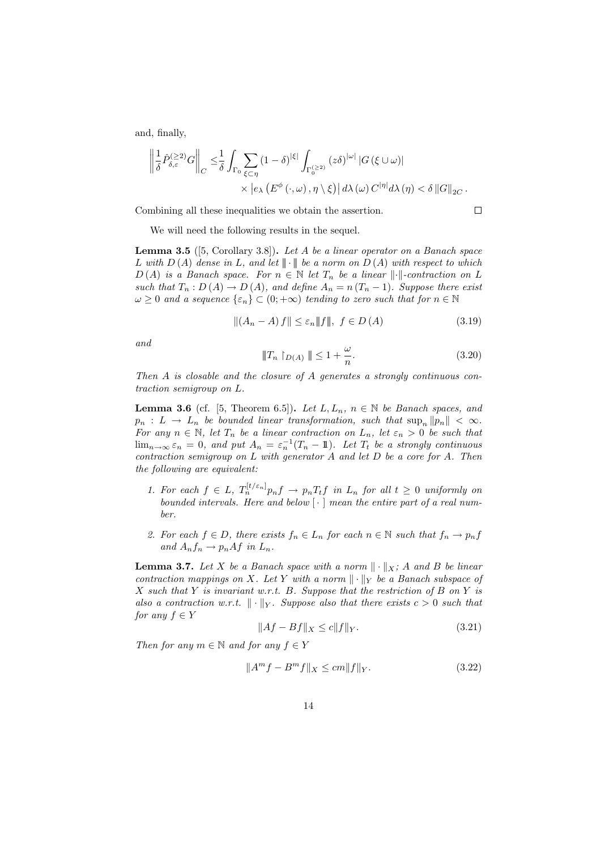and, finally,

$$
\left\| \frac{1}{\delta} \hat{P}_{\delta,\varepsilon}^{(\geq 2)} G \right\|_{C} \leq \frac{1}{\delta} \int_{\Gamma_0} \sum_{\xi \subset \eta} (1 - \delta)^{|\xi|} \int_{\Gamma_0^{(\geq 2)}} (z \delta)^{|\omega|} |G(\xi \cup \omega)| \times \left| e_{\lambda} \left( E^{\phi}(\cdot, \omega), \eta \setminus \xi \right) \right| d\lambda(\omega) C^{|\eta|} d\lambda(\eta) < \delta \|G\|_{2C}.
$$

Combining all these inequalities we obtain the assertion.

$$
\Box
$$

We will need the following results in the sequel.

**Lemma 3.5** ([5, Corollary 3.8]). Let A be a linear operator on a Banach space L with  $D(A)$  dense in L, and let  $\|\cdot\|$  be a norm on  $D(A)$  with respect to which  $D(A)$  is a Banach space. For  $n \in \mathbb{N}$  let  $T_n$  be a linear  $\lVert \cdot \rVert$ -contraction on L such that  $T_n: D(A) \to D(A)$ , and define  $A_n = n (T_n - 1)$ . Suppose there exist  $\omega \geq 0$  and a sequence  $\{\varepsilon_n\} \subset (0, +\infty)$  tending to zero such that for  $n \in \mathbb{N}$ 

$$
||(A_n - A) f|| \le \varepsilon_n ||f||, \ f \in D(A)
$$
\n(3.19)

and

$$
\|T_n\restriction_{D(A)}\| \le 1 + \frac{\omega}{n}.\tag{3.20}
$$

Then A is closable and the closure of A generates a strongly continuous contraction semigroup on L.

**Lemma 3.6** (cf. [5, Theorem 6.5]). Let  $L, L_n, n \in \mathbb{N}$  be Banach spaces, and  $p_n: L \to L_n$  be bounded linear transformation, such that  $\sup_n ||p_n|| < \infty$ . For any  $n \in \mathbb{N}$ , let  $T_n$  be a linear contraction on  $L_n$ , let  $\varepsilon_n > 0$  be such that  $\lim_{n\to\infty} \varepsilon_n = 0$ , and put  $A_n = \varepsilon_n^{-1}(T_n - \mathbb{1})$ . Let  $T_t$  be a strongly continuous contraction semigroup on L with generator A and let D be a core for A. Then the following are equivalent:

- 1. For each  $f \in L$ ,  $T_n^{[t/\varepsilon_n]} p_n f \to p_n T_t f$  in  $L_n$  for all  $t \geq 0$  uniformly on bounded intervals. Here and below  $\lceil \cdot \rceil$  mean the entire part of a real number.
- 2. For each  $f \in D$ , there exists  $f_n \in L_n$  for each  $n \in \mathbb{N}$  such that  $f_n \to p_n f$ and  $A_n f_n \to p_n A f$  in  $L_n$ .

**Lemma 3.7.** Let X be a Banach space with a norm  $\|\cdot\|_X$ ; A and B be linear contraction mappings on X. Let Y with a norm  $\|\cdot\|_Y$  be a Banach subspace of X such that Y is invariant w.r.t. B. Suppose that the restriction of B on Y is also a contraction w.r.t.  $\|\cdot\|_Y$ . Suppose also that there exists  $c > 0$  such that for any  $f \in Y$ 

$$
||Af - Bf||_X \le c||f||_Y. \tag{3.21}
$$

Then for any  $m \in \mathbb{N}$  and for any  $f \in Y$ 

$$
||Am f - Bm f||X \le cm ||f||Y.
$$
 (3.22)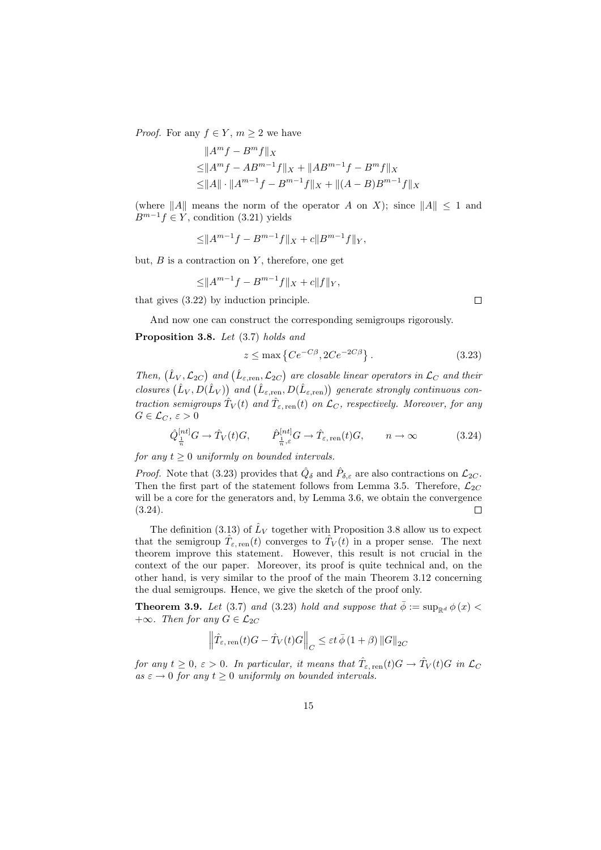*Proof.* For any  $f \in Y$ ,  $m \geq 2$  we have

$$
||Am f - Bm f||X
$$
  
\n
$$
\leq ||Am f - ABm-1 f||X + ||ABm-1 f - Bm f||X
$$
  
\n
$$
\leq ||A|| \cdot ||Am-1 f - Bm-1 f||X + ||(A - B)Bm-1 f||X
$$

(where  $||A||$  means the norm of the operator A on X); since  $||A|| \leq 1$  and  $B^{m-1}f \in Y$ , condition (3.21) yields

$$
\leq ||A^{m-1}f - B^{m-1}f||_X + c||B^{m-1}f||_Y,
$$

but,  $B$  is a contraction on  $Y$ , therefore, one get

$$
\leq ||A^{m-1}f - B^{m-1}f||_X + c||f||_Y,
$$

that gives (3.22) by induction principle.

And now one can construct the corresponding semigroups rigorously.

Proposition 3.8. Let  $(3.7)$  holds and

$$
z \le \max\left\{Ce^{-C\beta}, 2Ce^{-2C\beta}\right\}.
$$
\n(3.23)

Then,  $(\hat{L}_V, \mathcal{L}_{2C})$  and  $(\hat{L}_{\varepsilon, \text{ren}}, \mathcal{L}_{2C})$  are closable linear operators in  $\mathcal{L}_C$  and their closures  $(\hat{L}_V, D(\hat{L}_V))$  and  $(\hat{L}_{\varepsilon, \text{ren}}, D(\hat{L}_{\varepsilon, \text{ren}}))$  generate strongly continuous contraction semigroups  $\hat{T}_V(t)$  and  $\hat{T}_{\varepsilon, \text{ren}}(t)$  on  $\mathcal{L}_C$ , respectively. Moreover, for any  $G \in \mathcal{L}_C, \, \varepsilon > 0$ 

$$
\hat{Q}_{\frac{1}{n}}^{[nt]}G \to \hat{T}_V(t)G, \qquad \hat{P}_{\frac{1}{n},\varepsilon}^{[nt]}G \to \hat{T}_{\varepsilon,\text{ren}}(t)G, \qquad n \to \infty
$$
\n(3.24)

for any  $t \geq 0$  uniformly on bounded intervals.

*Proof.* Note that (3.23) provides that  $\hat{Q}_{\delta}$  and  $\hat{P}_{\delta,\varepsilon}$  are also contractions on  $\mathcal{L}_{2C}$ . Then the first part of the statement follows from Lemma 3.5. Therefore,  $\mathcal{L}_{2C}$ will be a core for the generators and, by Lemma 3.6, we obtain the convergence  $(3.24).$  $\Box$ 

The definition (3.13) of  $\hat{L}_V$  together with Proposition 3.8 allow us to expect that the semigroup  $\hat{T}_{\varepsilon, \text{ren}}(t)$  converges to  $\hat{T}_V(t)$  in a proper sense. The next theorem improve this statement. However, this result is not crucial in the context of the our paper. Moreover, its proof is quite technical and, on the other hand, is very similar to the proof of the main Theorem 3.12 concerning the dual semigroups. Hence, we give the sketch of the proof only.

**Theorem 3.9.** Let (3.7) and (3.23) hold and suppose that  $\bar{\phi} := \sup_{\mathbb{R}^d} \phi(x)$ +∞. Then for any  $G \in \mathcal{L}_{2C}$ 

$$
\left\| \hat{T}_{\varepsilon, \text{ren}}(t)G - \hat{T}_V(t)G \right\|_C \leq \varepsilon t \,\bar{\phi} \,(1+\beta) \left\| G \right\|_{2C}
$$

for any  $t \geq 0$ ,  $\varepsilon > 0$ . In particular, it means that  $\hat{T}_{\varepsilon, \text{ ren}}(t)G \to \hat{T}_V(t)G$  in  $\mathcal{L}_C$ as  $\varepsilon \to 0$  for any  $t > 0$  uniformly on bounded intervals.

 $\Box$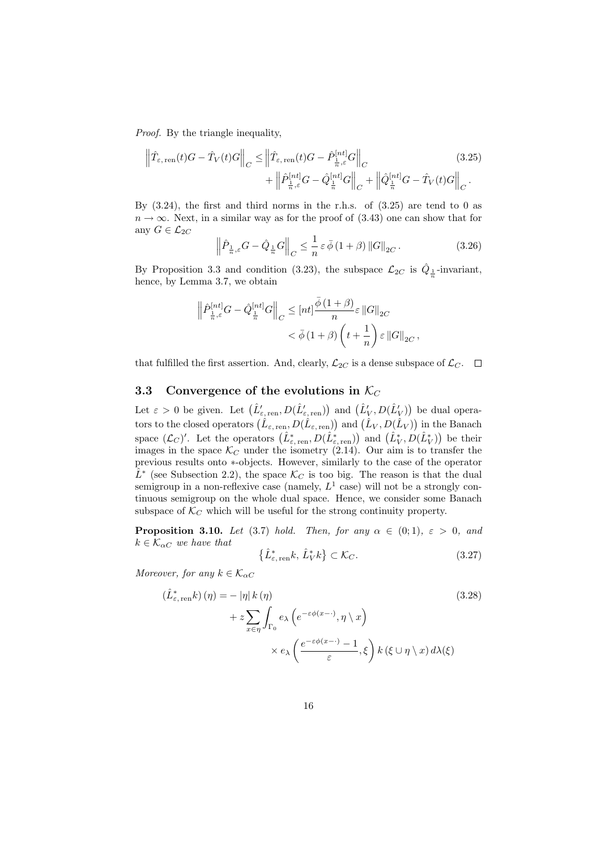Proof. By the triangle inequality,

$$
\left\|\hat{T}_{\varepsilon,\text{ren}}(t)G - \hat{T}_V(t)G\right\|_C \leq \left\|\hat{T}_{\varepsilon,\text{ren}}(t)G - \hat{P}_{\frac{1}{n},\varepsilon}^{[nt]}G\right\|_C
$$
\n
$$
+ \left\|\hat{P}_{\frac{1}{n},\varepsilon}^{[nt]}G - \hat{Q}_{\frac{1}{n}}^{[nt]}G\right\|_C + \left\|\hat{Q}_{\frac{1}{n}}^{[nt]}G - \hat{T}_V(t)G\right\|_C.
$$
\n(3.25)

By  $(3.24)$ , the first and third norms in the r.h.s. of  $(3.25)$  are tend to 0 as  $n \to \infty$ . Next, in a similar way as for the proof of (3.43) one can show that for any  $G \in \mathcal{L}_{2C}$ 

$$
\left\|\hat{P}_{\frac{1}{n},\varepsilon}G - \hat{Q}_{\frac{1}{n}}G\right\|_{C} \leq \frac{1}{n}\varepsilon\,\bar{\phi}\,(1+\beta)\,\|G\|_{2C}.\tag{3.26}
$$

,

By Proposition 3.3 and condition (3.23), the subspace  $\mathcal{L}_{2C}$  is  $\hat{Q}_{\frac{1}{n}}$ -invariant, hence, by Lemma 3.7, we obtain

$$
\begin{aligned} \Big\|\hat{P}^{[nt]}_{\frac{1}{n},\varepsilon}G-\hat{Q}^{[nt]}_{\frac{1}{n}}G\Big\|_{C}&\leq\left[nt\right]\frac{\bar{\phi}\left(1+\beta\right)}{n}\varepsilon\left\|G\right\|_{2C}\\&<\bar{\phi}\left(1+\beta\right)\left(t+\frac{1}{n}\right)\varepsilon\left\|G\right\|_{2C}\end{aligned}
$$

that fulfilled the first assertion. And, clearly,  $\mathcal{L}_{2C}$  is a dense subspace of  $\mathcal{L}_C$ .  $\Box$ 

#### 3.3 Convergence of the evolutions in  $\mathcal{K}_C$

Let  $\varepsilon > 0$  be given. Let  $(\hat{L}'_{\varepsilon, \text{ren}}, D(\hat{L}'_{\varepsilon, \text{ren}}))$  and  $(\hat{L}'_V, D(\hat{L}'_V))$  be dual operators to the closed operators  $(\hat{L}_{\varepsilon, \text{ren}}, D(\hat{L}_{\varepsilon, \text{ren}}))$  and  $(\hat{L}_V, D(\hat{L}_V))$  in the Banach space  $(\mathcal{L}_C)'$ . Let the operators  $(\hat{L}^*_{\varepsilon, \text{ren}}, D(\hat{L}^*_{\varepsilon, \text{ren}}))$  and  $(\hat{L}^*_{V}, D(\hat{L}^*_{V}))$  be their images in the space  $\mathcal{K}_C$  under the isometry (2.14). Our aim is to transfer the previous results onto ∗-objects. However, similarly to the case of the operator  $\hat{L}^*$  (see Subsection 2.2), the space  $\mathcal{K}_C$  is too big. The reason is that the dual semigroup in a non-reflexive case (namely,  $L^1$  case) will not be a strongly continuous semigroup on the whole dual space. Hence, we consider some Banach subspace of  $\mathcal{K}_C$  which will be useful for the strong continuity property.

**Proposition 3.10.** Let (3.7) hold. Then, for any  $\alpha \in (0,1)$ ,  $\varepsilon > 0$ , and  $k \in \mathcal{K}_{\alpha C}$  we have that

$$
\left\{\hat{L}^*_{\varepsilon,\text{ren}}k,\,\hat{L}^*_Vk\right\} \subset \mathcal{K}_C. \tag{3.27}
$$

Moreover, for any  $k \in \mathcal{K}_{\alpha C}$ 

$$
(\hat{L}_{\varepsilon,\text{ren}}^*k)(\eta) = - |\eta| k(\eta)
$$
\n
$$
+ z \sum_{x \in \eta} \int_{\Gamma_0} e_\lambda \left( e^{-\varepsilon \phi(x-\cdot)}, \eta \setminus x \right)
$$
\n
$$
\times e_\lambda \left( \frac{e^{-\varepsilon \phi(x-\cdot)} - 1}{\varepsilon}, \xi \right) k(\xi \cup \eta \setminus x) d\lambda(\xi)
$$
\n(3.28)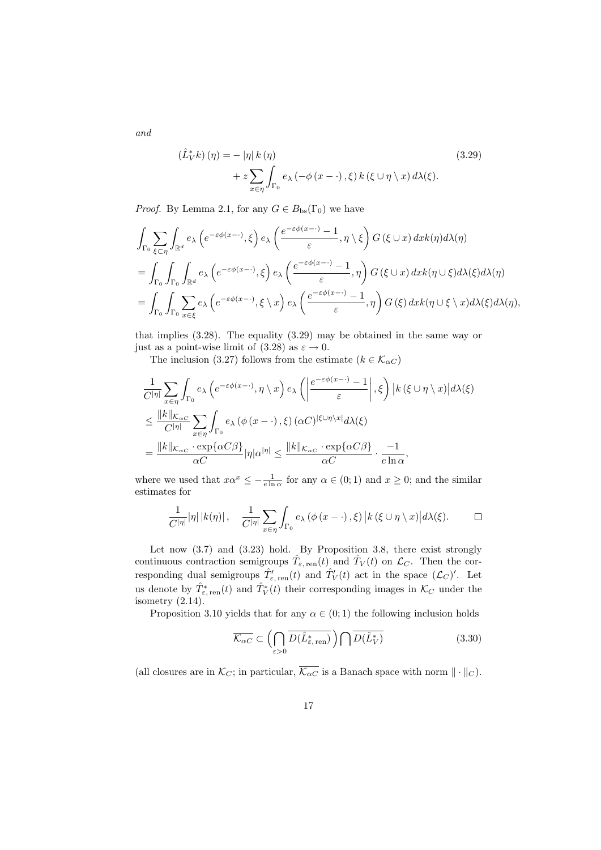$$
\begin{aligned} \left(\hat{L}_V^* k\right)(\eta) &= -\left|\eta\right| k\left(\eta\right) \\ &+ z \sum_{x \in \eta} \int_{\Gamma_0} e_\lambda \left(-\phi\left(x - \cdot\right), \xi\right) k\left(\xi \cup \eta \setminus x\right) d\lambda(\xi). \end{aligned} \tag{3.29}
$$

*Proof.* By Lemma 2.1, for any  $G \in B_{\text{bs}}(\Gamma_0)$  we have

$$
\int_{\Gamma_{0}} \sum_{\xi \subset \eta} \int_{\mathbb{R}^{d}} e_{\lambda} \left( e^{-\varepsilon \phi(x-\cdot)}, \xi \right) e_{\lambda} \left( \frac{e^{-\varepsilon \phi(x-\cdot)} - 1}{\varepsilon}, \eta \setminus \xi \right) G(\xi \cup x) dx k(\eta) d\lambda(\eta)
$$
\n
$$
= \int_{\Gamma_{0}} \int_{\Gamma_{0}} \int_{\mathbb{R}^{d}} e_{\lambda} \left( e^{-\varepsilon \phi(x-\cdot)}, \xi \right) e_{\lambda} \left( \frac{e^{-\varepsilon \phi(x-\cdot)} - 1}{\varepsilon}, \eta \right) G(\xi \cup x) dx k(\eta \cup \xi) d\lambda(\xi) d\lambda(\eta)
$$
\n
$$
= \int_{\Gamma_{0}} \int_{\Gamma_{0}} \sum_{x \in \xi} e_{\lambda} \left( e^{-\varepsilon \phi(x-\cdot)}, \xi \setminus x \right) e_{\lambda} \left( \frac{e^{-\varepsilon \phi(x-\cdot)} - 1}{\varepsilon}, \eta \right) G(\xi) dx k(\eta \cup \xi \setminus x) d\lambda(\xi) d\lambda(\eta),
$$

that implies (3.28). The equality (3.29) may be obtained in the same way or just as a point-wise limit of (3.28) as  $\varepsilon \to 0$ .

The inclusion (3.27) follows from the estimate ( $k \in \mathcal{K}_{\alpha C}$ )

$$
\frac{1}{C^{|\eta|}} \sum_{x \in \eta} \int_{\Gamma_0} e_{\lambda} \left( e^{-\varepsilon \phi(x - \cdot)}, \eta \setminus x \right) e_{\lambda} \left( \left| \frac{e^{-\varepsilon \phi(x - \cdot)} - 1}{\varepsilon} \right|, \xi \right) |k(\xi \cup \eta \setminus x)| d\lambda(\xi)
$$
\n
$$
\leq \frac{||k||_{\mathcal{K}_{\alpha C}}}{C^{|\eta|}} \sum_{x \in \eta} \int_{\Gamma_0} e_{\lambda} (\phi(x - \cdot), \xi) (\alpha C)^{|\xi \cup \eta \setminus x|} d\lambda(\xi)
$$
\n
$$
= \frac{||k||_{\mathcal{K}_{\alpha C}} \cdot \exp\{\alpha C \beta\}}{\alpha C} |\eta| \alpha^{|\eta|} \leq \frac{||k||_{\mathcal{K}_{\alpha C}} \cdot \exp\{\alpha C \beta\}}{\alpha C} \cdot \frac{-1}{e \ln \alpha},
$$

where we used that  $x\alpha^x \leq -\frac{1}{e \ln \alpha}$  for any  $\alpha \in (0, 1)$  and  $x \geq 0$ ; and the similar estimates for

$$
\frac{1}{C^{|\eta|}} |\eta| |k(\eta)| \, , \quad \frac{1}{C^{|\eta|}} \sum_{x \in \eta} \int_{\Gamma_0} e_\lambda \left( \phi(x - \cdot), \xi \right) |k(\xi \cup \eta \setminus x)| d\lambda(\xi). \qquad \Box
$$

Let now  $(3.7)$  and  $(3.23)$  hold. By Proposition 3.8, there exist strongly continuous contraction semigroups  $\hat{T}_{\varepsilon, \text{ren}}(t)$  and  $\hat{T}_V(t)$  on  $\mathcal{L}_C$ . Then the corresponding dual semigroups  $\hat{T}'_{\varepsilon, \text{ren}}(t)$  and  $\hat{T}'_V(t)$  act in the space  $(\mathcal{L}_C)'$ . Let us denote by  $\hat{T}^*_{\varepsilon, \text{ren}}(t)$  and  $\hat{T}^*_V(t)$  their corresponding images in  $\mathcal{K}_C$  under the isometry  $(2.14)$ .

Proposition 3.10 yields that for any  $\alpha \in (0,1)$  the following inclusion holds

$$
\overline{\mathcal{K}_{\alpha C}} \subset \left(\bigcap_{\varepsilon > 0} \overline{D(\hat{L}_{\varepsilon, \text{ren}}^*)}\right) \bigcap \overline{D(\hat{L}_V^*)} \tag{3.30}
$$

(all closures are in  $\mathcal{K}_C$ ; in particular,  $\overline{\mathcal{K}_{\alpha C}}$  is a Banach space with norm  $\|\cdot\|_C$ ).

and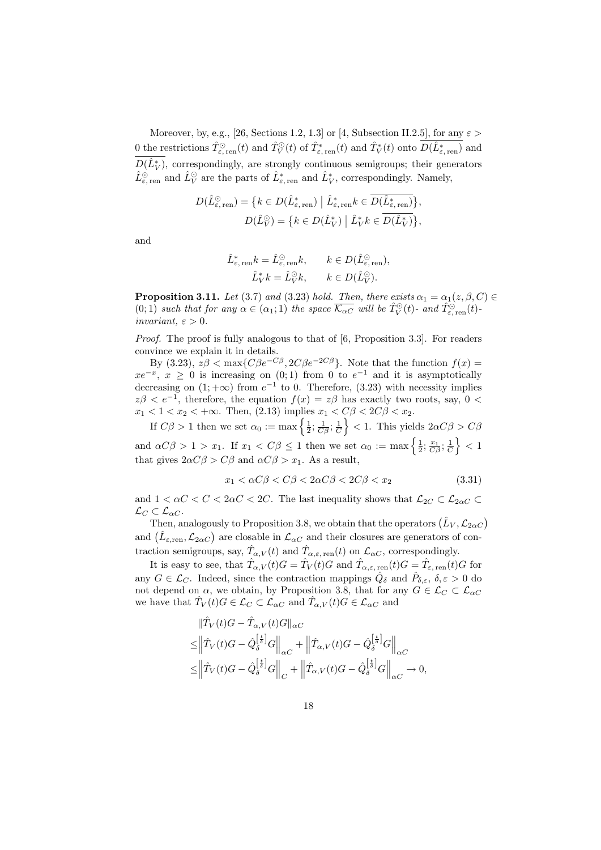Moreover, by, e.g., [26, Sections 1.2, 1.3] or [4, Subsection II.2.5], for any  $\varepsilon >$ 0 the restrictions  $\hat{T}_{\varepsilon,\text{ ren}}^{\odot}(t)$  and  $\hat{T}_{V}^{\odot}(t)$  of  $\hat{T}_{\varepsilon,\text{ ren}}^*(t)$  and  $\hat{T}_{V}^*(t)$  onto  $D(\hat{L}_{\varepsilon,\text{ ren}}^*)$  and  $D(\hat{L}_V^*)$ , correspondingly, are strongly continuous semigroups; their generators  $\hat{L}_{\varepsilon,\text{ren}}^{\odot}$  and  $\hat{L}_{V}^{\circ}$  are the parts of  $\hat{L}_{\varepsilon,\text{ren}}^{*}$  and  $\hat{L}_{V}^{*}$ , correspondingly. Namely,

$$
D(\hat{L}_{\varepsilon, \text{ ren}}^{\odot}) = \{ k \in D(\hat{L}_{\varepsilon, \text{ ren}}^*) \mid \hat{L}_{\varepsilon, \text{ ren}}^* k \in D(\hat{L}_{\varepsilon, \text{ ren}}^*) \},
$$
  

$$
D(\hat{L}_V^{\odot}) = \{ k \in D(\hat{L}_V^*) \mid \hat{L}_V^* k \in \overline{D(\hat{L}_V^*)} \},
$$

and

$$
\hat{L}_{\varepsilon, \text{ ren}}^* k = \hat{L}_{\varepsilon, \text{ ren}}^{\odot} k, \qquad k \in D(\hat{L}_{\varepsilon, \text{ ren}}^{\odot}),
$$

$$
\hat{L}_V^* k = \hat{L}_V^{\odot} k, \qquad k \in D(\hat{L}_V^{\odot}).
$$

**Proposition 3.11.** Let (3.7) and (3.23) hold. Then, there exists  $\alpha_1 = \alpha_1(z, \beta, C)$  $(0,1)$  such that for any  $\alpha \in (\alpha_1,1)$  the space  $\overline{\mathcal{K}_{\alpha C}}$  will be  $\hat{T}_V^{\odot}(t)$ - and  $\hat{T}_{\varepsilon,\text{ren}}^{\odot}(t)$ invariant,  $\varepsilon > 0$ .

Proof. The proof is fully analogous to that of [6, Proposition 3.3]. For readers convince we explain it in details.

By (3.23),  $z\beta < \max\{C\beta e^{-C\beta}, 2C\beta e^{-2C\beta}\}\$ . Note that the function  $f(x) =$  $xe^{-x}$ ,  $x \ge 0$  is increasing on  $(0,1)$  from 0 to  $e^{-1}$  and it is asymptotically decreasing on  $(1; +\infty)$  from  $e^{-1}$  to 0. Therefore,  $(3.23)$  with necessity implies  $z\beta < e^{-1}$ , therefore, the equation  $f(x) = z\beta$  has exactly two roots, say, 0 <  $x_1 < 1 < x_2 < +\infty$ . Then, (2.13) implies  $x_1 < C\beta < 2C\beta < x_2$ .

If  $C\beta > 1$  then we set  $\alpha_0 := \max\left\{\frac{1}{2}; \frac{1}{C\beta}; \frac{1}{C}\right\} < 1$ . This yields  $2\alpha C\beta > C\beta$ and  $\alpha C \beta > 1 > x_1$ . If  $x_1 < C \beta \leq 1$  then we set  $\alpha_0 := \max \left\{ \frac{1}{2}, \frac{x_1}{C \beta}, \frac{1}{C} \right\} < 1$ that gives  $2\alpha C\beta > C\beta$  and  $\alpha C\beta > x_1$ . As a result,

$$
x_1 < \alpha C \beta < C \beta < 2\alpha C \beta < 2C \beta < x_2 \tag{3.31}
$$

and  $1 < \alpha C < C < 2\alpha C < 2C$ . The last inequality shows that  $\mathcal{L}_{2C} \subset \mathcal{L}_{2\alpha C} \subset$  $\mathcal{L}_C \subset \mathcal{L}_{\alpha C}$ .

Then, analogously to Proposition 3.8, we obtain that the operators  $(\hat{L}_V, \mathcal{L}_{2\alpha C})$ and  $(\hat{L}_{\varepsilon,ren}, \mathcal{L}_{2\alpha C})$  are closable in  $\mathcal{L}_{\alpha C}$  and their closures are generators of contraction semigroups, say,  $\hat{T}_{\alpha,V}(t)$  and  $\hat{T}_{\alpha,\varepsilon,\,\text{ren}}(t)$  on  $\mathcal{L}_{\alpha C}$ , correspondingly.

It is easy to see, that  $\hat{T}_{\alpha,V}(t)G = \hat{T}_V(t)G$  and  $\hat{T}_{\alpha,\varepsilon,\,\text{ren}}(t)G = \hat{T}_{\varepsilon,\,\text{ren}}(t)G$  for any  $G \in \mathcal{L}_C$ . Indeed, since the contraction mappings  $\hat{Q}_\delta$  and  $\hat{P}_{\delta,\varepsilon}$ ,  $\delta,\varepsilon > 0$  do not depend on  $\alpha$ , we obtain, by Proposition 3.8, that for any  $G \in \mathcal{L}_C \subset \mathcal{L}_{\alpha C}$ we have that  $\hat{T}_V(t)G \in \mathcal{L}_C \subset \mathcal{L}_{\alpha C}$  and  $\hat{T}_{\alpha,V}(t)G \in \mathcal{L}_{\alpha C}$  and

$$
\label{eq:4.1} \begin{split} &\|\hat{T}_V(t)G-\hat{T}_{\alpha,V}(t)G\|_{\alpha C}\\ \leq& \left\|\hat{T}_V(t)G-\hat{Q}_\delta^{\left[\frac{t}{\delta}\right]}G\right\|_{\alpha C}+\left\|\hat{T}_{\alpha,V}(t)G-\hat{Q}_\delta^{\left[\frac{t}{\delta}\right]}G\right\|_{\alpha C}\\ \leq& \left\|\hat{T}_V(t)G-\hat{Q}_\delta^{\left[\frac{t}{\delta}\right]}G\right\|_{C}+\left\|\hat{T}_{\alpha,V}(t)G-\hat{Q}_\delta^{\left[\frac{t}{\delta}\right]}G\right\|_{\alpha C}\rightarrow 0, \end{split}
$$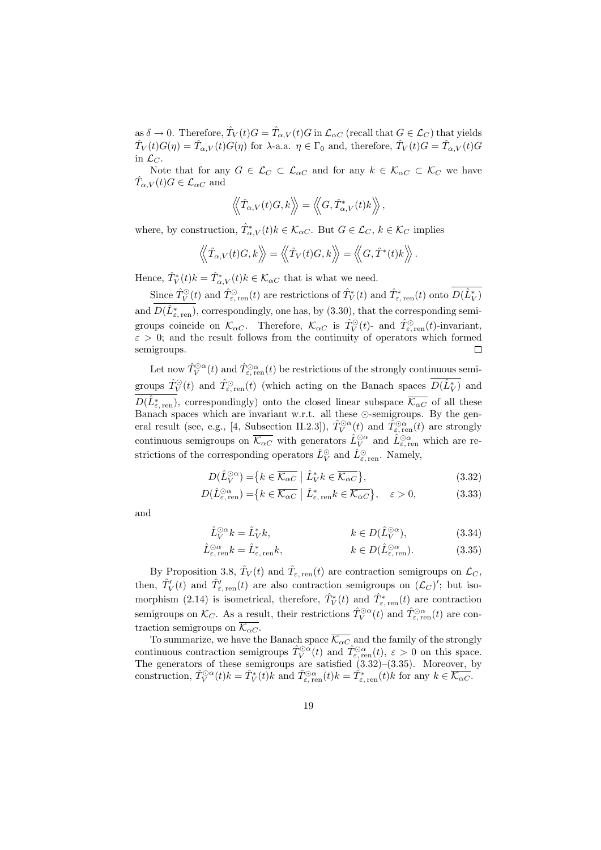as  $\delta \to 0$ . Therefore,  $\hat{T}_V(t)G = \hat{T}_{\alpha,V}(t)G$  in  $\mathcal{L}_{\alpha C}$  (recall that  $G \in \mathcal{L}_C$ ) that yields  $\hat{T}_V(t)G(\eta) = \hat{T}_{\alpha,V}(t)G(\eta)$  for  $\lambda$ -a.a.  $\eta \in \Gamma_0$  and, therefore,  $\hat{T}_V(t)G = \hat{T}_{\alpha,V}(t)G$ in  $\mathcal{L}_C$ .

Note that for any  $G \in \mathcal{L}_C \subset \mathcal{L}_{\alpha C}$  and for any  $k \in \mathcal{K}_{\alpha C} \subset \mathcal{K}_C$  we have  $\hat{T}_{\alpha,V}(t)G \in \mathcal{L}_{\alpha C}$  and

$$
\left\langle \!\left\langle \hat{T}_{\alpha,V}(t)G,k\right\rangle\!\right\rangle = \left\langle \!\left\langle G,\hat{T}_{\alpha,V}^*(t)k\right\rangle\!\right\rangle,
$$

where, by construction,  $\hat{T}^*_{\alpha,V}(t)k \in \mathcal{K}_{\alpha C}$ . But  $G \in \mathcal{L}_C$ ,  $k \in \mathcal{K}_C$  implies

$$
\left\langle \left\langle \hat{T}_{\alpha,V}(t)G,k\right\rangle \right\rangle = \left\langle \left\langle \hat{T}_{V}(t)G,k\right\rangle \right\rangle = \left\langle \left\langle G,\hat{T}^{*}(t)k\right\rangle \right\rangle.
$$

Hence,  $\hat{T}_V^*(t)k = \hat{T}_{\alpha,V}^*(t)k \in \mathcal{K}_{\alpha C}$  that is what we need.

Since  $\hat{T}_V^{\odot}(t)$  and  $\hat{T}_{\varepsilon,\text{ren}}^{\odot}(t)$  are restrictions of  $\hat{T}_V^*(t)$  and  $\hat{T}_{\varepsilon,\text{ren}}^*(t)$  onto  $D(\hat{L}_V^*)$ and  $D(\hat{L}_{\varepsilon,\text{ren}}^*)$ , correspondingly, one has, by (3.30), that the corresponding semigroups coincide on  $\mathcal{K}_{\alpha C}$ . Therefore,  $\mathcal{K}_{\alpha C}$  is  $\hat{T}_{V}^{\odot}(t)$ - and  $\hat{T}_{\varepsilon, \text{ ren}}^{\odot}(t)$ -invariant,  $\varepsilon > 0$ ; and the result follows from the continuity of operators which formed semigroups. П

Let now  $\hat T_V^{\odot \alpha}(t)$  and  $\hat T_{\varepsilon,\, {\rm ren}}^{ \odot \alpha}(t)$  be restrictions of the strongly continuous semigroups  $\hat{T}_V^{\odot}(t)$  and  $\hat{T}_{\varepsilon,\text{ren}}(t)$  (which acting on the Banach spaces  $D(\hat{L}_V^*)$  and  $D(\hat{L}^*_{\varepsilon,\, \rm ren})$ , correspondingly) onto the closed linear subspace  $\overline{\mathcal{K}_{\alpha C}}$  of all these Banach spaces which are invariant w.r.t. all these  $\odot$ -semigroups. By the general result (see, e.g., [4, Subsection II.2.3]),  $\hat{T}_{V}^{\odot \alpha}(t)$  and  $\tilde{T}_{\varepsilon, \text{ren}}^{\odot \alpha}(t)$  are strongly continuous semigroups on  $\overline{\mathcal{K}_{\alpha C}}$  with generators  $\hat{L}_V^{\odot \alpha}$  and  $\hat{L}_{\varepsilon, \text{ren}}^{\odot \alpha}$  which are restrictions of the corresponding operators  $\hat{L}_V^{\odot}$  and  $\hat{L}_{\varepsilon, \text{ ren}}^{\odot}$ . Namely,

$$
D(\hat{L}_V^{\odot \alpha}) = \{ k \in \overline{\mathcal{K}_{\alpha C}} \mid \hat{L}_V^* k \in \overline{\mathcal{K}_{\alpha C}} \},\tag{3.32}
$$

$$
D(\hat{L}_{\varepsilon,\text{ren}}^{\odot \alpha}) = \{ k \in \overline{\mathcal{K}_{\alpha C}} \mid \hat{L}_{\varepsilon,\text{ren}}^* k \in \overline{\mathcal{K}_{\alpha C}} \}, \quad \varepsilon > 0,
$$
 (3.33)

and

$$
\hat{L}_V^{\odot \alpha} k = \hat{L}_V^* k, \qquad k \in D(\hat{L}_V^{\odot \alpha}), \tag{3.34}
$$

$$
\hat{L}^{\odot \alpha}_{\varepsilon, \text{ren}} k = \hat{L}^*_{\varepsilon, \text{ren}} k, \qquad k \in D(\hat{L}^{\odot \alpha}_{\varepsilon, \text{ren}}). \tag{3.35}
$$

By Proposition 3.8,  $\hat{T}_V(t)$  and  $\hat{T}_{\varepsilon, \text{ren}}(t)$  are contraction semigroups on  $\mathcal{L}_C$ , then,  $\hat{T}'_V(t)$  and  $\hat{T}'_{\epsilon,\text{ren}}(t)$  are also contraction semigroups on  $(\mathcal{L}_C)'$ ; but isomorphism (2.14) is isometrical, therefore,  $\hat{T}_{V}^{*}(t)$  and  $\hat{T}_{\varepsilon, \text{ren}}^{*}(t)$  are contraction semigroups on  $\mathcal{K}_C$ . As a result, their restrictions  $\hat{T}_V^{\odot \alpha}(t)$  and  $\hat{T}_{\varepsilon, \text{ren}}^{\odot \alpha}(t)$  are contraction semigroups on  $\overline{\mathcal{K}_{\alpha C}}$ .

To summarize, we have the Banach space  $\mathcal{K}_{\alpha C}$  and the family of the strongly continuous contraction semigroups  $\hat{T}_{V}^{\odot \alpha}(t)$  and  $\hat{T}_{\varepsilon, \text{ren}}^{\odot \alpha}(t)$ ,  $\varepsilon > 0$  on this space. The generators of these semigroups are satisfied  $(3.32)$ – $(3.35)$ . Moreover, by construction,  $\hat{T}_{V}^{\odot \alpha}(t)k = \hat{T}_{V}^{*}(t)k$  and  $\hat{T}_{\varepsilon, \text{ ren}}^{\odot \alpha}(t)k = \hat{T}_{\varepsilon, \text{ ren}}^{*}(t)k$  for any  $k \in \overline{\mathcal{K}_{\alpha C}}$ .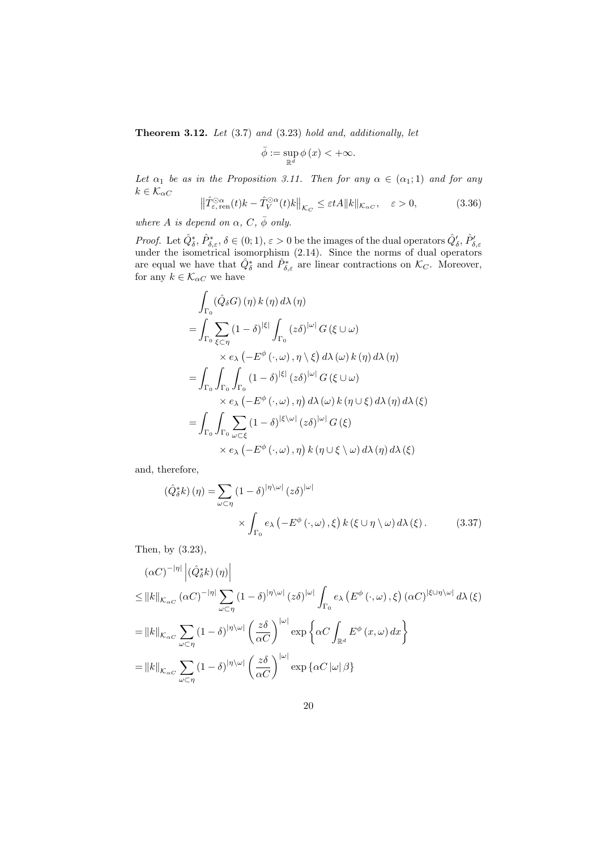**Theorem 3.12.** Let  $(3.7)$  and  $(3.23)$  hold and, additionally, let

$$
\bar{\phi} := \sup_{\mathbb{R}^d} \phi(x) < +\infty.
$$

Let  $\alpha_1$  be as in the Proposition 3.11. Then for any  $\alpha \in (\alpha_1; 1)$  and for any  $k \in \mathcal{K}_{\alpha C}$ 

$$
\left\|\hat{T}_{\varepsilon,\text{ren}}^{\odot\alpha}(t)k-\hat{T}_{V}^{\odot\alpha}(t)k\right\|_{\mathcal{K}_{C}}\leq\varepsilon tA\|k\|_{\mathcal{K}_{\alpha C}},\quad\varepsilon>0,
$$
\n(3.36)

where A is depend on  $\alpha$ , C,  $\bar{\phi}$  only.

*Proof.* Let  $\hat{Q}_{\delta}^*, \hat{P}_{\delta,\varepsilon}^*, \delta \in (0,1), \varepsilon > 0$  be the images of the dual operators  $\hat{Q}_{\delta}^{\prime}, \hat{P}_{\delta,\varepsilon}^{\prime}$ <br>under the isometrical isomorphism (2.14). Since the norms of dual operators are equal we have that  $\hat{Q}_{\delta}^*$  and  $\hat{P}_{\delta,\varepsilon}^*$  are linear contractions on  $\mathcal{K}_C$ . Moreover, for any  $k \in \mathcal{K}_{\alpha C}$  we have

$$
\int_{\Gamma_{0}} (\hat{Q}_{\delta}G) (\eta) k (\eta) d\lambda (\eta)
$$
\n=
$$
\int_{\Gamma_{0}} \sum_{\xi \subset \eta} (1 - \delta)^{|\xi|} \int_{\Gamma_{0}} (z\delta)^{|\omega|} G(\xi \cup \omega)
$$
\n
$$
\times e_{\lambda} (-E^{\phi}(\cdot, \omega), \eta \setminus \xi) d\lambda (\omega) k (\eta) d\lambda (\eta)
$$
\n=
$$
\int_{\Gamma_{0}} \int_{\Gamma_{0}} \int_{\Gamma_{0}} (1 - \delta)^{|\xi|} (z\delta)^{|\omega|} G(\xi \cup \omega)
$$
\n
$$
\times e_{\lambda} (-E^{\phi}(\cdot, \omega), \eta) d\lambda (\omega) k (\eta \cup \xi) d\lambda (\eta) d\lambda (\xi)
$$
\n=
$$
\int_{\Gamma_{0}} \int_{\Gamma_{0}} \sum_{\omega \subset \xi} (1 - \delta)^{|\xi \setminus \omega|} (z\delta)^{|\omega|} G(\xi)
$$
\n
$$
\times e_{\lambda} (-E^{\phi}(\cdot, \omega), \eta) k (\eta \cup \xi \setminus \omega) d\lambda (\eta) d\lambda (\xi)
$$

and, therefore,

$$
\left(\hat{Q}_{\delta}^{*}k\right)(\eta) = \sum_{\omega \subset \eta} (1 - \delta)^{|\eta \setminus \omega|} (z\delta)^{|\omega|} \times \int_{\Gamma_{0}} e_{\lambda} \left(-E^{\phi}(\cdot, \omega), \xi\right) k(\xi \cup \eta \setminus \omega) d\lambda(\xi). \tag{3.37}
$$

Then, by (3.23),

$$
(\alpha C)^{-|\eta|} |(\hat{Q}_{\delta}^{*}k) (\eta)|
$$
  
\n
$$
\leq ||k||_{\mathcal{K}_{\alpha C}} (\alpha C)^{-|\eta|} \sum_{\omega \subset \eta} (1 - \delta)^{|\eta \setminus \omega|} (z \delta)^{|\omega|} \int_{\Gamma_{0}} e_{\lambda} (E^{\phi}(\cdot, \omega), \xi) (\alpha C)^{|\xi \cup \eta \setminus \omega|} d\lambda (\xi)
$$
  
\n
$$
= ||k||_{\mathcal{K}_{\alpha C}} \sum_{\omega \subset \eta} (1 - \delta)^{|\eta \setminus \omega|} (\frac{z \delta}{\alpha C})^{|\omega|} \exp \{\alpha C \int_{\mathbb{R}^{d}} E^{\phi} (x, \omega) dx \}
$$
  
\n
$$
= ||k||_{\mathcal{K}_{\alpha C}} \sum_{\omega \subset \eta} (1 - \delta)^{|\eta \setminus \omega|} (\frac{z \delta}{\alpha C})^{|\omega|} \exp \{\alpha C |\omega| \beta \}
$$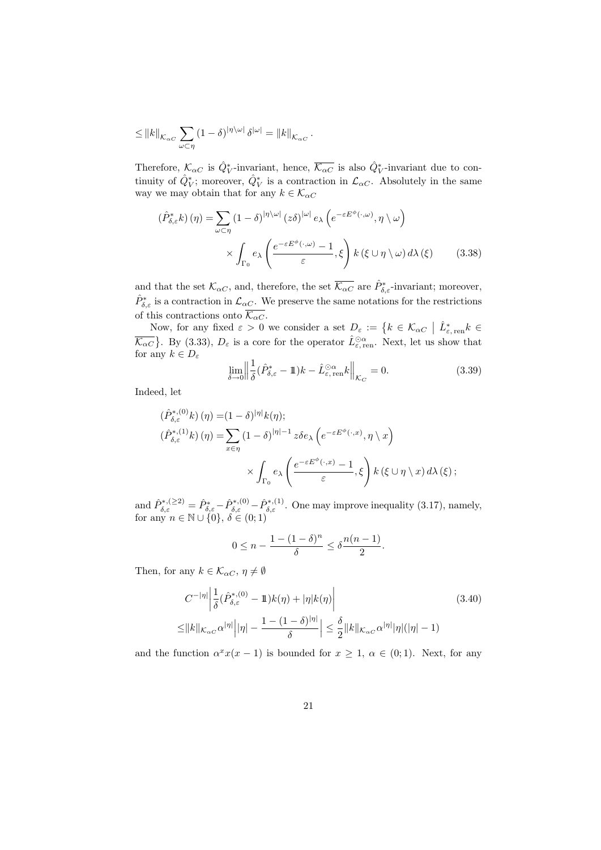$$
\leq ||k||_{\mathcal{K}_{\alpha C}} \sum_{\omega \subset \eta} (1-\delta)^{|\eta \backslash \omega|} \, \delta^{|\omega|} = ||k||_{\mathcal{K}_{\alpha C}}
$$

Therefore,  $\mathcal{K}_{\alpha C}$  is  $\hat{Q}_{V}^{*}$ -invariant, hence,  $\overline{\mathcal{K}_{\alpha C}}$  is also  $\hat{Q}_{V}^{*}$ -invariant due to continuity of  $\hat{Q}_{V}^{*}$ ; moreover,  $\hat{Q}_{V}^{*}$  is a contraction in  $\mathcal{L}_{\alpha C}$ . Absolutely in the same way we may obtain that for any  $k \in \mathcal{K}_{\alpha C}$ 

.

$$
(\hat{P}_{\delta,\varepsilon}^{*}k)(\eta) = \sum_{\omega \subset \eta} (1-\delta)^{|\eta \setminus \omega|} (z\delta)^{|\omega|} e_{\lambda} \left( e^{-\varepsilon E^{\phi}(\cdot,\omega)}, \eta \setminus \omega \right) \times \int_{\Gamma_{0}} e_{\lambda} \left( \frac{e^{-\varepsilon E^{\phi}(\cdot,\omega)} - 1}{\varepsilon}, \xi \right) k(\xi \cup \eta \setminus \omega) d\lambda(\xi) \tag{3.38}
$$

and that the set  $\mathcal{K}_{\alpha C}$ , and, therefore, the set  $\overline{\mathcal{K}_{\alpha C}}$  are  $\hat{P}^*_{\delta,\varepsilon}$ -invariant; moreover,  $\hat{P}^*_{\delta,\varepsilon}$  is a contraction in  $\mathcal{L}_{\alpha C}$ . We preserve the same notations for the restrictions of this contractions onto  $\overline{\mathcal{K}_{\alpha C}}$ .

Now, for any fixed  $\varepsilon > 0$  we consider a set  $D_{\varepsilon} := \{ k \in \mathcal{K}_{\alpha C} \mid \hat{L}^*_{\varepsilon, \text{ren}} k \in \mathbb{R} \}$  $\overline{\mathcal{K}_{\alpha C}}$ . By (3.33),  $D_{\varepsilon}$  is a core for the operator  $\hat{L}^{\odot \alpha}_{\varepsilon, \text{ren}}$ . Next, let us show that for any  $k \in D_{\varepsilon}$ 

$$
\lim_{\delta \to 0} \left\| \frac{1}{\delta} (\hat{P}_{\delta,\varepsilon}^* - 1\!\!1)k - \hat{L}_{\varepsilon, \text{ren}}^{\odot \alpha} k \right\|_{\mathcal{K}_C} = 0. \tag{3.39}
$$

Indeed, let

$$
(\hat{P}_{\delta,\varepsilon}^{*,(0)}k)(\eta) = (1-\delta)^{|\eta|}k(\eta);
$$
  

$$
(\hat{P}_{\delta,\varepsilon}^{*,(1)}k)(\eta) = \sum_{x \in \eta} (1-\delta)^{|\eta|-1} z \delta e_{\lambda} \left( e^{-\varepsilon E^{\phi}(\cdot,x)}, \eta \setminus x \right)
$$
  

$$
\times \int_{\Gamma_0} e_{\lambda} \left( \frac{e^{-\varepsilon E^{\phi}(\cdot,x)} - 1}{\varepsilon}, \xi \right) k(\xi \cup \eta \setminus x) d\lambda(\xi);
$$

and  $\hat{P}_{\delta,\varepsilon}^{*,(22)} = \hat{P}_{\delta,\varepsilon}^{*} - \hat{P}_{\delta,\varepsilon}^{*,(0)} - \hat{P}_{\delta,\varepsilon}^{*,(1)}$ . One may improve inequality (3.17), namely, for any  $n \in \mathbb{N} \cup \{0\}$ ,  $\delta \in (0,1)$ 

$$
0 \le n - \frac{1 - (1 - \delta)^n}{\delta} \le \delta \frac{n(n-1)}{2}.
$$

Then, for any  $k \in \mathcal{K}_{\alpha C}, \eta \neq \emptyset$ 

$$
C^{-|\eta|} \left| \frac{1}{\delta} (\hat{P}_{\delta,\varepsilon}^{*,(0)} - 1\!\!1) k(\eta) + |\eta| k(\eta) \right|
$$
\n
$$
\leq ||k||_{\mathcal{K}_{\alpha C}} \alpha^{|\eta|} \left| |\eta| - \frac{1 - (1 - \delta)^{|\eta|}}{\delta} \right| \leq \frac{\delta}{2} ||k||_{\mathcal{K}_{\alpha C}} \alpha^{|\eta|} |\eta| (|\eta| - 1)
$$
\n(3.40)

and the function  $\alpha^x x(x-1)$  is bounded for  $x \geq 1$ ,  $\alpha \in (0,1)$ . Next, for any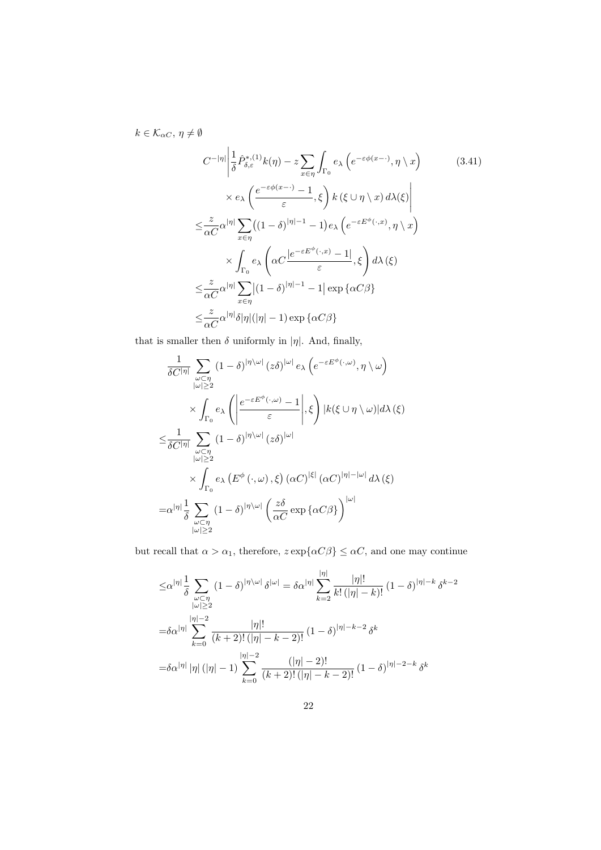$k \in \mathcal{K}_{\alpha C},\, \eta \neq \emptyset$ 

$$
C^{-|\eta|} \left| \frac{1}{\delta} \hat{P}^{*,(1)}_{\delta,\varepsilon} k(\eta) - z \sum_{x \in \eta} \int_{\Gamma_0} e_{\lambda} \left( e^{-\varepsilon \phi(x-\cdot)}, \eta \setminus x \right) \right|
$$
\n
$$
\times e_{\lambda} \left( \frac{e^{-\varepsilon \phi(x-\cdot)} - 1}{\varepsilon}, \xi \right) k \left( \xi \cup \eta \setminus x \right) d\lambda(\xi) \right|
$$
\n
$$
\leq \frac{z}{\alpha C} \alpha^{|\eta|} \sum_{x \in \eta} \left( (1 - \delta)^{|\eta| - 1} - 1 \right) e_{\lambda} \left( e^{-\varepsilon E^{\phi}(\cdot, x)}, \eta \setminus x \right)
$$
\n
$$
\times \int_{\Gamma_0} e_{\lambda} \left( \alpha C \frac{|e^{-\varepsilon E^{\phi}(\cdot, x)} - 1|}{\varepsilon}, \xi \right) d\lambda(\xi)
$$
\n
$$
\leq \frac{z}{\alpha C} \alpha^{|\eta|} \sum_{x \in \eta} |(1 - \delta)^{|\eta| - 1} - 1| \exp \{ \alpha C \beta \}
$$
\n
$$
\leq \frac{z}{\alpha C} \alpha^{|\eta|} \delta |\eta|(|\eta| - 1) \exp \{ \alpha C \beta \}
$$
\n(3.41)

that is smaller then  $\delta$  uniformly in |η|. And, finally,

$$
\frac{1}{\delta C^{|\eta|}} \sum_{\substack{\omega \subset \eta \\ |\omega| \ge 2}} (1 - \delta)^{|\eta \setminus \omega|} (z \delta)^{|\omega|} e_{\lambda} \left( e^{-\varepsilon E^{\phi}(\cdot, \omega)}, \eta \setminus \omega \right)
$$
  

$$
\times \int_{\Gamma_0} e_{\lambda} \left( \left| \frac{e^{-\varepsilon E^{\phi}(\cdot, \omega)} - 1}{\varepsilon} \right|, \xi \right) |k(\xi \cup \eta \setminus \omega)| d\lambda(\xi)
$$
  

$$
\le \frac{1}{\delta C^{|\eta|}} \sum_{\substack{\omega \subset \eta \\ |\omega| \ge 2}} (1 - \delta)^{|\eta \setminus \omega|} (z \delta)^{|\omega|}
$$
  

$$
\times \int_{\Gamma_0} e_{\lambda} \left( E^{\phi}(\cdot, \omega), \xi \right) (\alpha C)^{|\xi|} (\alpha C)^{|\eta| - |\omega|} d\lambda(\xi)
$$
  

$$
= \alpha^{|\eta|} \frac{1}{\delta} \sum_{\substack{\omega \subset \eta \\ |\omega| \ge 2}} (1 - \delta)^{|\eta \setminus \omega|} \left( \frac{z \delta}{\alpha C} \exp \{ \alpha C \beta \} \right)^{|\omega|}
$$

but recall that  $\alpha > \alpha_1$ , therefore,  $z \exp{\{\alpha C \beta\}} \leq \alpha C$ , and one may continue

$$
\leq \alpha^{|\eta|} \frac{1}{\delta} \sum_{\substack{\omega \subset \eta \\ |\omega| \geq 2}} (1 - \delta)^{|\eta|} \frac{|\eta|}{\delta^{|\omega|}} = \delta \alpha^{|\eta|} \sum_{k=2}^{|\eta|} \frac{|\eta|!}{k! (|\eta| - k)!} (1 - \delta)^{|\eta| - k} \delta^{k-2}
$$

$$
= \delta \alpha^{|\eta|} \sum_{k=0}^{|\eta| - 2} \frac{|\eta|!}{(k+2)! (|\eta| - k - 2)!} (1 - \delta)^{|\eta| - k - 2} \delta^{k}
$$

$$
= \delta \alpha^{|\eta|} |\eta| (|\eta| - 1) \sum_{k=0}^{|\eta| - 2} \frac{(|\eta| - 2)!}{(k+2)! (|\eta| - k - 2)!} (1 - \delta)^{|\eta| - 2 - k} \delta^{k}
$$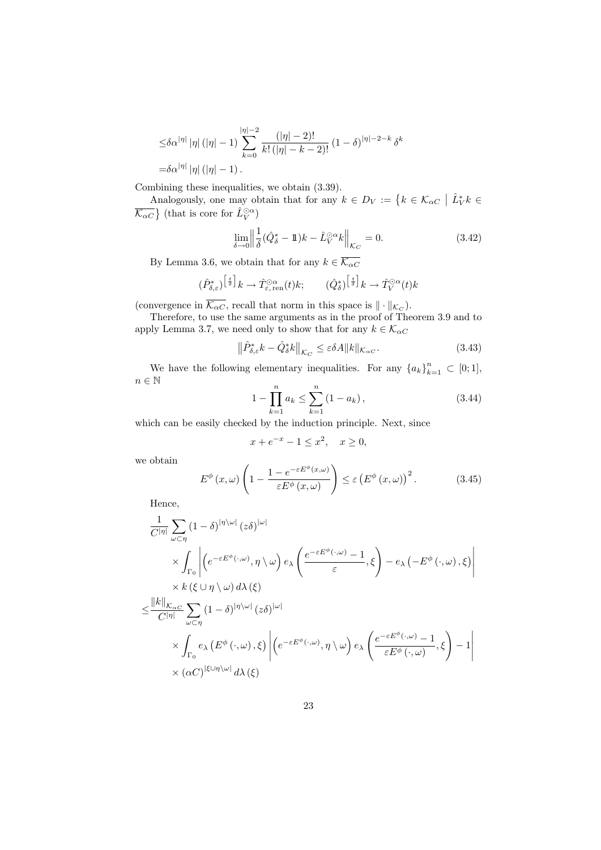$$
\leq \delta \alpha^{|\eta|} |\eta| (|\eta| - 1) \sum_{k=0}^{|\eta| - 2} \frac{(|\eta| - 2)!}{k! (|\eta| - k - 2)!} (1 - \delta)^{|\eta| - 2 - k} \delta^k
$$
  
=  $\delta \alpha^{|\eta|} |\eta| (|\eta| - 1).$ 

Combining these inequalities, we obtain (3.39).

Analogously, one may obtain that for any  $k \in D_V := \{ k \in \mathcal{K}_{\alpha C} \mid \hat{L}_V^* k \in \mathbb{R} \}$  $\overline{\mathcal{K}_{\alpha C}}$  (that is core for  $\hat{L}_V^{\odot \alpha}$ )

$$
\lim_{\delta \to 0} \left\| \frac{1}{\delta} (\hat{Q}_{\delta}^* - 1\!\!1)k - \hat{L}_V^{\odot \alpha} k \right\|_{\mathcal{K}_C} = 0. \tag{3.42}
$$

By Lemma 3.6, we obtain that for any  $k \in \overline{\mathcal{K}_{\alpha C}}$ 

$$
(\hat{P}_{\delta,\varepsilon}^*)^{\left[\frac{t}{\delta}\right]}k \to \hat{T}_{\varepsilon,\,\mathrm{ren}}^{\odot \alpha}(t)k;\qquad (\hat{Q}_{\delta}^*)^{\left[\frac{t}{\delta}\right]}k \to \hat{T}_V^{\odot \alpha}(t)k
$$

(convergence in  $\overline{\mathcal{K}_{\alpha C}}$ , recall that norm in this space is  $\|\cdot\|_{\mathcal{K}_C}$ ).

Therefore, to use the same arguments as in the proof of Theorem 3.9 and to apply Lemma 3.7, we need only to show that for any  $k \in \mathcal{K}_{\alpha C}$ 

$$
\left\| \hat{P}^*_{\delta,\varepsilon} k - \hat{Q}^*_{\delta} k \right\|_{\mathcal{K}_C} \le \varepsilon \delta A \| k \|_{\mathcal{K}_{\alpha C}}.
$$
\n(3.43)

We have the following elementary inequalities. For any  ${a_k}_{k=1}^n \subset [0,1]$ ,  $n \in \mathbb{N}$ 

$$
1 - \prod_{k=1}^{n} a_k \le \sum_{k=1}^{n} (1 - a_k), \qquad (3.44)
$$

which can be easily checked by the induction principle. Next, since

$$
x + e^{-x} - 1 \le x^2, \quad x \ge 0,
$$

we obtain

$$
E^{\phi}(x,\omega)\left(1-\frac{1-e^{-\varepsilon E^{\phi}(x,\omega)}}{\varepsilon E^{\phi}(x,\omega)}\right) \leq \varepsilon \left(E^{\phi}(x,\omega)\right)^{2}.
$$
 (3.45)

Hence,

$$
\frac{1}{C^{|\eta|}} \sum_{\omega \subset \eta} (1 - \delta)^{|\eta \setminus \omega|} (z\delta)^{|\omega|} \times \int_{\Gamma_0} \left| \left( e^{-\varepsilon E^{\phi}(\cdot, \omega)}, \eta \setminus \omega \right) e_{\lambda} \left( \frac{e^{-\varepsilon E^{\phi}(\cdot, \omega)} - 1}{\varepsilon}, \xi \right) - e_{\lambda} \left( -E^{\phi}(\cdot, \omega), \xi \right) \right| \times k \left( \xi \cup \eta \setminus \omega \right) d\lambda \left( \xi \right) \n\leq \frac{||k||_{\mathcal{K}_{\alpha C}}}{C^{|\eta|}} \sum_{\omega \subset \eta} (1 - \delta)^{|\eta \setminus \omega|} (z\delta)^{|\omega|} \times \int_{\Gamma_0} e_{\lambda} \left( E^{\phi}(\cdot, \omega), \xi \right) \left| \left( e^{-\varepsilon E^{\phi}(\cdot, \omega)}, \eta \setminus \omega \right) e_{\lambda} \left( \frac{e^{-\varepsilon E^{\phi}(\cdot, \omega)} - 1}{\varepsilon E^{\phi}(\cdot, \omega)}, \xi \right) - 1 \right| \times (\alpha C)^{|\xi \cup \eta \setminus \omega|} d\lambda \left( \xi \right)
$$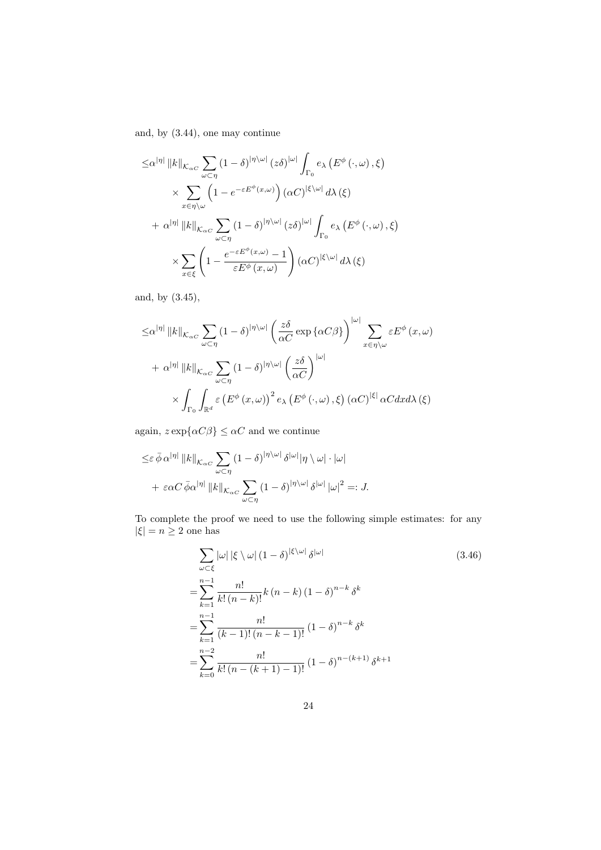and, by (3.44), one may continue

$$
\leq \alpha^{|\eta|} ||k||_{\mathcal{K}_{\alpha C}} \sum_{\omega \subset \eta} (1 - \delta)^{|\eta \setminus \omega|} (z\delta)^{|\omega|} \int_{\Gamma_0} e_{\lambda} (E^{\phi}(\cdot, \omega), \xi)
$$
  
\$\times \sum\_{x \in \eta \setminus \omega} \left(1 - e^{-\varepsilon E^{\phi}(x, \omega)}\right) (\alpha C)^{|\xi \setminus \omega|} d\lambda(\xi)\$  
\$+ \alpha^{|\eta|} ||k||\_{\mathcal{K}\_{\alpha C}} \sum\_{\omega \subset \eta} (1 - \delta)^{|\eta \setminus \omega|} (z\delta)^{|\omega|} \int\_{\Gamma\_0} e\_{\lambda} (E^{\phi}(\cdot, \omega), \xi)\$  
\$\times \sum\_{x \in \xi} \left(1 - \frac{e^{-\varepsilon E^{\phi}(x, \omega)} - 1}{\varepsilon E^{\phi}(x, \omega)}\right) (\alpha C)^{|\xi \setminus \omega|} d\lambda(\xi)\$

and, by (3.45),

$$
\leq \alpha^{|\eta|} \|k\|_{\mathcal{K}_{\alpha C}} \sum_{\omega \subset \eta} (1 - \delta)^{|\eta \setminus \omega|} \left(\frac{z\delta}{\alpha C} \exp \{ \alpha C \beta \} \right)^{|\omega|} \sum_{x \in \eta \setminus \omega} \varepsilon E^{\phi}(x, \omega)
$$

$$
+ \alpha^{|\eta|} \|k\|_{\mathcal{K}_{\alpha C}} \sum_{\omega \subset \eta} (1 - \delta)^{|\eta \setminus \omega|} \left(\frac{z\delta}{\alpha C} \right)^{|\omega|}
$$

$$
\times \int_{\Gamma_0} \int_{\mathbb{R}^d} \varepsilon \left( E^{\phi}(x, \omega) \right)^2 e_{\lambda} \left( E^{\phi}(\cdot, \omega), \xi \right) (\alpha C)^{|\xi|} \alpha C dx d\lambda(\xi)
$$

again,  $z \exp{\{\alpha C \beta\}} \leq \alpha C$  and we continue

$$
\leq \varepsilon \,\overline{\phi} \,\alpha^{|\eta|} \, \|k\|_{\mathcal{K}_{\alpha C}} \sum_{\omega \subset \eta} (1 - \delta)^{|\eta \setminus \omega|} \,\delta^{|\omega|} |\eta \setminus \omega| \cdot |\omega|
$$
  
+ 
$$
\varepsilon \alpha C \,\overline{\phi} \alpha^{|\eta|} \, \|k\|_{\mathcal{K}_{\alpha C}} \sum_{\omega \subset \eta} (1 - \delta)^{|\eta \setminus \omega|} \,\delta^{|\omega|} \, |\omega|^2 =: J.
$$

To complete the proof we need to use the following simple estimates: for any  $|\xi| = n \geq 2$  one has

$$
\sum_{\omega \subset \xi} |\omega| |\xi \setminus \omega| (1 - \delta)^{|\xi \setminus \omega|} \delta^{|\omega|}
$$
\n
$$
= \sum_{k=1}^{n-1} \frac{n!}{k! (n-k)!} k (n-k) (1 - \delta)^{n-k} \delta^k
$$
\n
$$
= \sum_{k=1}^{n-1} \frac{n!}{(k-1)! (n-k-1)!} (1 - \delta)^{n-k} \delta^k
$$
\n
$$
= \sum_{k=0}^{n-2} \frac{n!}{k! (n - (k+1) - 1)!} (1 - \delta)^{n - (k+1)} \delta^{k+1}
$$
\n(1 - \delta)^{n- (k+1)}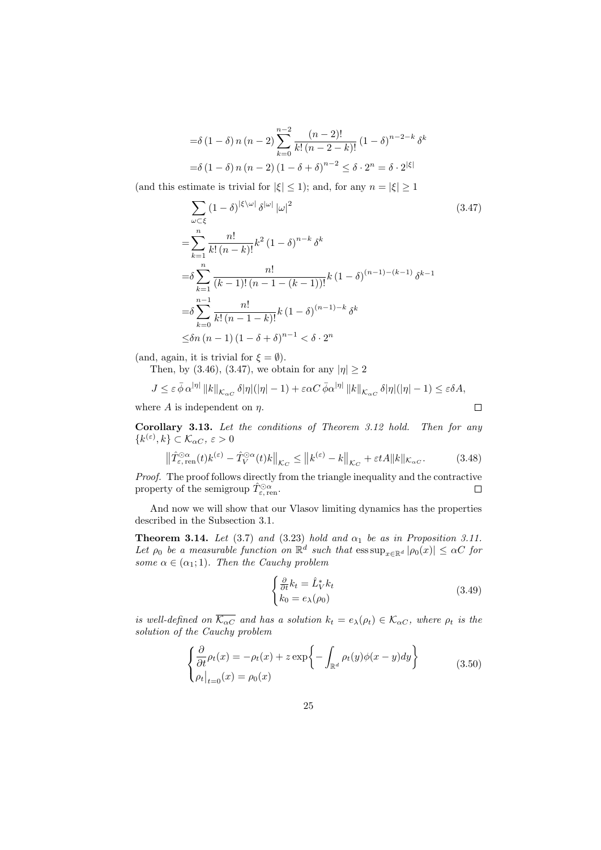$$
= \delta (1 - \delta) n (n - 2) \sum_{k=0}^{n-2} \frac{(n-2)!}{k! (n-2-k)!} (1 - \delta)^{n-2-k} \delta^k
$$
  
=  $\delta (1 - \delta) n (n - 2) (1 - \delta + \delta)^{n-2} \le \delta \cdot 2^n = \delta \cdot 2^{|\xi|}$ 

(and this estimate is trivial for  $|\xi| \leq 1$ ); and, for any  $n = |\xi| \geq 1$ 

$$
\sum_{\omega \subset \xi} (1 - \delta)^{|\xi| \omega|} \delta^{|\omega|} |\omega|^2
$$
\n
$$
= \sum_{k=1}^n \frac{n!}{k! (n-k)!} k^2 (1 - \delta)^{n-k} \delta^k
$$
\n
$$
= \delta \sum_{k=1}^n \frac{n!}{(k-1)! (n-1 - (k-1))!} k (1 - \delta)^{(n-1) - (k-1)} \delta^{k-1}
$$
\n
$$
= \delta \sum_{k=0}^{n-1} \frac{n!}{k! (n-1-k)!} k (1 - \delta)^{(n-1)-k} \delta^k
$$
\n
$$
\leq \delta n (n-1) (1 - \delta + \delta)^{n-1} < \delta \cdot 2^n
$$
\n(3.47)

(and, again, it is trivial for  $\xi = \emptyset$ ).

Then, by (3.46), (3.47), we obtain for any  $|\eta| \geq 2$ 

$$
J \leq \varepsilon \bar{\phi} \alpha^{|\eta|} ||k||_{\mathcal{K}_{\alpha C}} \delta |\eta|(|\eta| - 1) + \varepsilon \alpha C \bar{\phi} \alpha^{|\eta|} ||k||_{\mathcal{K}_{\alpha C}} \delta |\eta|(|\eta| - 1) \leq \varepsilon \delta A,
$$
  
ere A is independent on  $\eta$ .

where A is independent on  $\eta$ .

Corollary 3.13. Let the conditions of Theorem 3.12 hold. Then for any  $\{k^{(\varepsilon)}, k\} \subset \mathcal{K}_{\alpha C}, \, \varepsilon > 0$ 

$$
\left\|\hat{T}_{\varepsilon,\text{ ren}}^{\odot\alpha}(t)k^{(\varepsilon)}-\hat{T}_{V}^{\odot\alpha}(t)k\right\|_{\mathcal{K}_{C}} \leq\left\|k^{(\varepsilon)}-k\right\|_{\mathcal{K}_{C}}+\varepsilon tA\|k\|_{\mathcal{K}_{\alpha C}}.\tag{3.48}
$$

Proof. The proof follows directly from the triangle inequality and the contractive property of the semigroup  $\hat{T}_{\varepsilon,\,\text{ren}}^{\odot\alpha}$ .  $\Box$ 

And now we will show that our Vlasov limiting dynamics has the properties described in the Subsection 3.1.

**Theorem 3.14.** Let (3.7) and (3.23) hold and  $\alpha_1$  be as in Proposition 3.11. Let  $\rho_0$  be a measurable function on  $\mathbb{R}^d$  such that  $\operatorname{ess \, sup}_{x \in \mathbb{R}^d} |\rho_0(x)| \leq \alpha C$  for some  $\alpha \in (\alpha_1; 1)$ . Then the Cauchy problem

$$
\begin{cases} \frac{\partial}{\partial t}k_t = \hat{L}_V^* k_t\\ k_0 = e_\lambda(\rho_0) \end{cases} \tag{3.49}
$$

is well-defined on  $\overline{\mathcal{K}_{\alpha C}}$  and has a solution  $k_t = e_{\lambda}(\rho_t) \in \mathcal{K}_{\alpha C}$ , where  $\rho_t$  is the solution of the Cauchy problem

$$
\begin{cases} \frac{\partial}{\partial t} \rho_t(x) = -\rho_t(x) + z \exp\left\{-\int_{\mathbb{R}^d} \rho_t(y)\phi(x-y)dy\right\} \\ \rho_t|_{t=0}(x) = \rho_0(x) \end{cases}
$$
(3.50)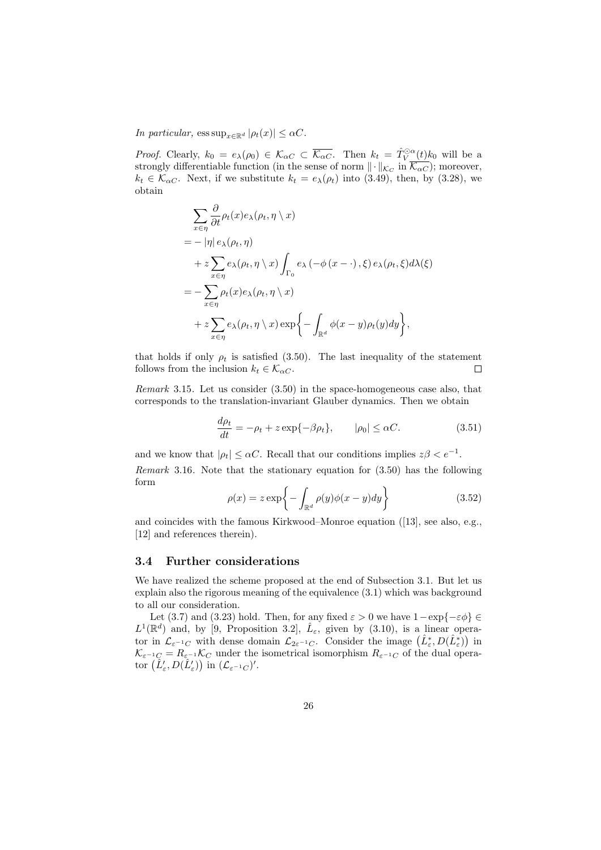In particular,  $\text{ess sup}_{x \in \mathbb{R}^d} |\rho_t(x)| \leq \alpha C$ .

*Proof.* Clearly,  $k_0 = e_{\lambda}(\rho_0) \in \mathcal{K}_{\alpha C} \subset \overline{\mathcal{K}_{\alpha C}}$ . Then  $k_t = \hat{T}_{V}^{\odot \alpha}(t)k_0$  will be a strongly differentiable function (in the sense of norm  $\|\cdot\|_{\mathcal{K}_C}$  in  $\mathcal{K}_{\alpha C}$ ); moreover,  $k_t \in \mathcal{K}_{\alpha C}$ . Next, if we substitute  $k_t = e_{\lambda}(\rho_t)$  into (3.49), then, by (3.28), we obtain

$$
\sum_{x \in \eta} \frac{\partial}{\partial t} \rho_t(x) e_{\lambda}(\rho_t, \eta \setminus x)
$$
  
=  $-\left| \eta \right| e_{\lambda}(\rho_t, \eta)$   
+  $z \sum_{x \in \eta} e_{\lambda}(\rho_t, \eta \setminus x) \int_{\Gamma_0} e_{\lambda}(-\phi(x - \cdot), \xi) e_{\lambda}(\rho_t, \xi) d\lambda(\xi)$   
=  $-\sum_{x \in \eta} \rho_t(x) e_{\lambda}(\rho_t, \eta \setminus x)$   
+  $z \sum_{x \in \eta} e_{\lambda}(\rho_t, \eta \setminus x) \exp\left\{-\int_{\mathbb{R}^d} \phi(x - y) \rho_t(y) dy\right\},$ 

that holds if only  $\rho_t$  is satisfied (3.50). The last inequality of the statement follows from the inclusion  $k_t \in \mathcal{K}_{\alpha C}$ .  $\Box$ 

Remark 3.15. Let us consider (3.50) in the space-homogeneous case also, that corresponds to the translation-invariant Glauber dynamics. Then we obtain

$$
\frac{d\rho_t}{dt} = -\rho_t + z \exp\{-\beta \rho_t\}, \qquad |\rho_0| \le \alpha C. \tag{3.51}
$$

and we know that  $|\rho_t| \leq \alpha C$ . Recall that our conditions implies  $z\beta < e^{-1}$ . Remark 3.16. Note that the stationary equation for (3.50) has the following form

$$
\rho(x) = z \exp\left\{-\int_{\mathbb{R}^d} \rho(y)\phi(x-y)dy\right\}
$$
\n(3.52)

and coincides with the famous Kirkwood–Monroe equation ([13], see also, e.g., [12] and references therein).

#### 3.4 Further considerations

We have realized the scheme proposed at the end of Subsection 3.1. But let us explain also the rigorous meaning of the equivalence (3.1) which was background to all our consideration.

Let (3.7) and (3.23) hold. Then, for any fixed  $\varepsilon > 0$  we have  $1 - \exp\{-\varepsilon \phi\} \in$  $L^1(\mathbb{R}^d)$  and, by [9, Proposition 3.2],  $\hat{L}_{\varepsilon}$ , given by (3.10), is a linear operator in  $\mathcal{L}_{\varepsilon^{-1}C}$  with dense domain  $\mathcal{L}_{2\varepsilon^{-1}C}$ . Consider the image  $(\hat{L}^*_{\varepsilon}, D(\hat{L}^*_{\varepsilon}))$  in  $\mathcal{K}_{\varepsilon^{-1}C} = R_{\varepsilon^{-1}} \mathcal{K}_C$  under the isometrical isomorphism  $R_{\varepsilon^{-1}C}$  of the dual operator  $(\tilde{L}'_{\varepsilon}, D(\tilde{L}'_{\varepsilon}))$  in  $(\mathcal{L}_{\varepsilon^{-1}C})'$ .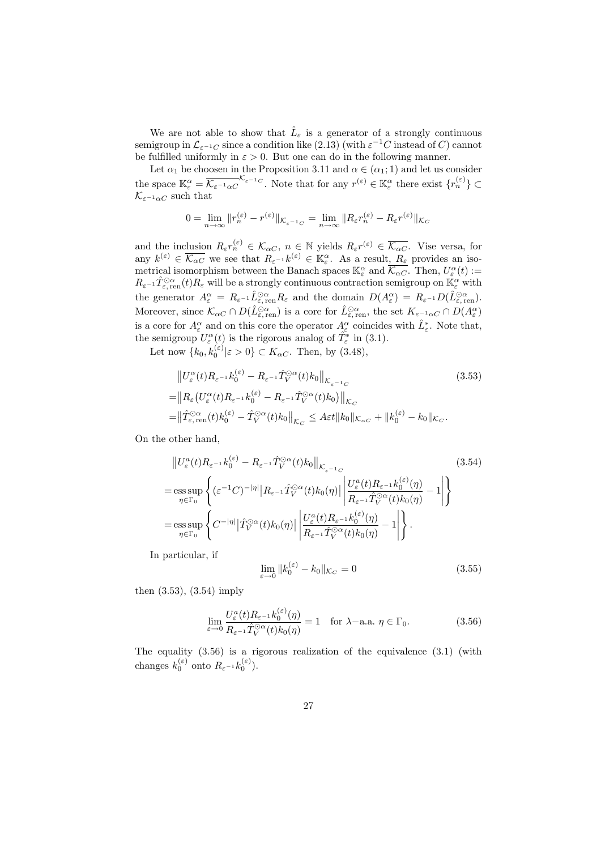We are not able to show that  $\hat{L}_{\varepsilon}$  is a generator of a strongly continuous semigroup in  $\mathcal{L}_{\varepsilon^{-1}C}$  since a condition like  $(2.13)$  (with  $\varepsilon^{-1}C$  instead of C) cannot be fulfilled uniformly in  $\varepsilon > 0$ . But one can do in the following manner.

Let  $\alpha_1$  be choosen in the Proposition 3.11 and  $\alpha \in (\alpha_1; 1)$  and let us consider the space  $\mathbb{K}_{\varepsilon}^{\alpha} = \overline{\mathcal{K}_{\varepsilon^{-1}\alpha}C}^{\mathcal{K}_{\varepsilon^{-1}C}}$ . Note that for any  $r^{(\varepsilon)} \in \mathbb{K}_{\varepsilon}^{\alpha}$  there exist  $\{r_n^{(\varepsilon)}\} \subset$  $\mathcal{K}_{\varepsilon^{-1}\alpha C}$  such that

$$
0 = \lim_{n \to \infty} ||r_n^{(\varepsilon)} - r^{(\varepsilon)}||_{\mathcal{K}_{\varepsilon^{-1}C}} = \lim_{n \to \infty} ||R_{\varepsilon}r_n^{(\varepsilon)} - R_{\varepsilon}r^{(\varepsilon)}||_{\mathcal{K}_C}
$$

and the inclusion  $R_{\varepsilon} r_n^{(\varepsilon)} \in \mathcal{K}_{\alpha C}, n \in \mathbb{N}$  yields  $R_{\varepsilon} r^{(\varepsilon)} \in \overline{\mathcal{K}_{\alpha C}}$ . Vise versa, for any  $k^{(\varepsilon)} \in \overline{\mathcal{K}_{\alpha C}}$  we see that  $R_{\varepsilon^{-1}} k^{(\varepsilon)} \in \mathbb{K}_{\varepsilon}^{\alpha}$ . As a result,  $R_{\varepsilon}$  provides an isometrical isomorphism between the Banach spaces  $\mathbb{K}_{\varepsilon}^{\alpha}$  and  $\overline{\mathcal{K}_{\alpha C}}$ . Then,  $U_{\varepsilon}^{\alpha}(t)$  :=  $R_{\varepsilon^{-1}} \hat{T}_{\varepsilon, \text{ren}}^{\\\odot \alpha}(t) R_{\varepsilon}$  will be a strongly continuous contraction semigroup on  $\mathbb{K}_{\varepsilon}^{\alpha}$  with the generator  $A_{\varepsilon}^{\alpha} = R_{\varepsilon^{-1}} \hat{L}_{\varepsilon, \text{ren}}^{\odot \alpha} R_{\varepsilon}$  and the domain  $D(A_{\varepsilon}^{\alpha}) = R_{\varepsilon^{-1}} D(\hat{L}_{\varepsilon, \text{ren}}^{\odot \alpha}).$ Moreover, since  $\mathcal{K}_{\alpha C} \cap D(\hat{L}_{\varepsilon, \text{ren}}^{\odot \alpha})$  is a core for  $\hat{L}_{\varepsilon, \text{ren}}^{\odot \alpha}$ , the set  $K_{\varepsilon^{-1} \alpha C} \cap D(A_{\varepsilon}^{\alpha})$ is a core for  $A_{\varepsilon}^{\alpha}$  and on this core the operator  $A_{\varepsilon}^{\alpha}$  coincides with  $\hat{L}_{\varepsilon}^{*}$ . Note that, the semigroup  $U_{\varepsilon}^{\alpha}(t)$  is the rigorous analog of  $\hat{T}_{\varepsilon}^{*}$  in (3.1).

Let now  ${k_0, k_0^{(\varepsilon)} | \varepsilon > 0} \subset K_{\alpha C}$ . Then, by (3.48),

$$
\|U_{\varepsilon}^{\alpha}(t)R_{\varepsilon^{-1}}k_{0}^{(\varepsilon)} - R_{\varepsilon^{-1}}\hat{T}_{V}^{\odot\alpha}(t)k_{0}\|_{\mathcal{K}_{\varepsilon^{-1}C}}
$$
\n
$$
=\|R_{\varepsilon}\big(U_{\varepsilon}^{\alpha}(t)R_{\varepsilon^{-1}}k_{0}^{(\varepsilon)} - R_{\varepsilon^{-1}}\hat{T}_{V}^{\odot\alpha}(t)k_{0}\big)\|_{\mathcal{K}_{C}}
$$
\n
$$
=\|\hat{T}_{\varepsilon,\text{ren}}^{\odot\alpha}(t)k_{0}^{(\varepsilon)} - \hat{T}_{V}^{\odot\alpha}(t)k_{0}\|_{\mathcal{K}_{C}} \leq A\varepsilon t\|k_{0}\|_{\mathcal{K}_{\alpha C}} + \|k_{0}^{(\varepsilon)} - k_{0}\|_{\mathcal{K}_{C}}.
$$
\n(3.53)

On the other hand,

$$
\|U_{\varepsilon}^{a}(t)R_{\varepsilon^{-1}}k_{0}^{(\varepsilon)} - R_{\varepsilon^{-1}}\hat{T}_{V}^{\odot\alpha}(t)k_{0}\|_{\mathcal{K}_{\varepsilon^{-1}C}} \tag{3.54}
$$
\n
$$
= \underset{\eta \in \Gamma_{0}}{\mathrm{ess}\sup} \left\{ (\varepsilon^{-1}C)^{-|\eta|} |R_{\varepsilon^{-1}}\hat{T}_{V}^{\odot\alpha}(t)k_{0}(\eta)| \left| \frac{U_{\varepsilon}^{a}(t)R_{\varepsilon^{-1}}k_{0}^{(\varepsilon)}(\eta)}{R_{\varepsilon^{-1}}\hat{T}_{V}^{\odot\alpha}(t)k_{0}(\eta)} - 1 \right| \right\}
$$
\n
$$
= \underset{\eta \in \Gamma_{0}}{\mathrm{ess}\sup} \left\{ C^{-|\eta|} |\hat{T}_{V}^{\odot\alpha}(t)k_{0}(\eta)| \left| \frac{U_{\varepsilon}^{a}(t)R_{\varepsilon^{-1}}k_{0}^{(\varepsilon)}(\eta)}{R_{\varepsilon^{-1}}\hat{T}_{V}^{\odot\alpha}(t)k_{0}(\eta)} - 1 \right| \right\}.
$$
\n(3.54)

In particular, if

$$
\lim_{\varepsilon \to 0} \|k_0^{(\varepsilon)} - k_0\|_{\mathcal{K}_C} = 0 \tag{3.55}
$$

then (3.53), (3.54) imply

$$
\lim_{\varepsilon \to 0} \frac{U_{\varepsilon}^{a}(t) R_{\varepsilon^{-1}} k_0^{(\varepsilon)}(\eta)}{R_{\varepsilon^{-1}} \hat{T}_V^{\odot \alpha}(t) k_0(\eta)} = 1 \quad \text{for } \lambda - \text{a.a. } \eta \in \Gamma_0.
$$
\n(3.56)

The equality  $(3.56)$  is a rigorous realization of the equivalence  $(3.1)$  (with changes  $k_0^{(\varepsilon)}$  onto  $R_{\varepsilon^{-1}}k_0^{(\varepsilon)}$ ).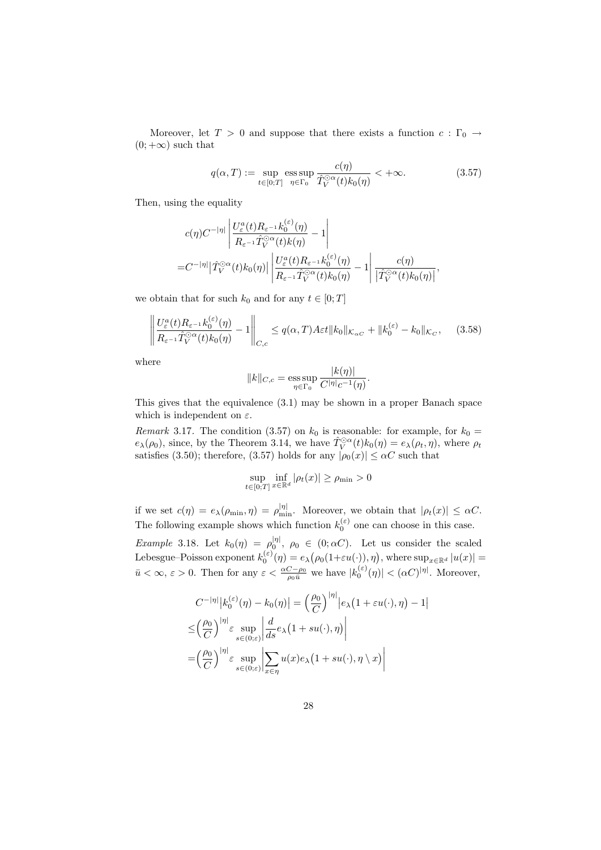Moreover, let  $T > 0$  and suppose that there exists a function  $c : \Gamma_0 \rightarrow$  $(0; +\infty)$  such that

$$
q(\alpha, T) := \sup_{t \in [0;T]} \operatorname{ess} \sup \frac{c(\eta)}{\hat{T}_V^{\odot \alpha}(t) k_0(\eta)} < +\infty. \tag{3.57}
$$

Then, using the equality

$$
c(\eta)C^{-|\eta|}\left|\frac{U_{\varepsilon}^a(t)R_{\varepsilon^{-1}}k_0^{(\varepsilon)}(\eta)}{R_{\varepsilon^{-1}}\hat{T}_V^{\odot\alpha}(t)k(\eta)}-1\right|
$$
  
=
$$
C^{-|\eta|}|\hat{T}_V^{\odot\alpha}(t)k_0(\eta)|\left|\frac{U_{\varepsilon}^a(t)R_{\varepsilon^{-1}}k_0^{(\varepsilon)}(\eta)}{R_{\varepsilon^{-1}}\hat{T}_V^{\odot\alpha}(t)k_0(\eta)}-1\right|\frac{c(\eta)}{|\hat{T}_V^{\odot\alpha}(t)k_0(\eta)|},
$$

we obtain that for such  $k_0$  and for any  $t \in [0; T]$ 

$$
\left\| \frac{U_{\varepsilon}^{a}(t) R_{\varepsilon^{-1}} k_{0}^{(\varepsilon)}(\eta)}{R_{\varepsilon^{-1}} \hat{T}_{V}^{\odot \alpha}(t) k_{0}(\eta)} - 1 \right\|_{C,c} \le q(\alpha, T) A \varepsilon t \|k_{0}\|_{\mathcal{K}_{\alpha C}} + \|k_{0}^{(\varepsilon)} - k_{0}\|_{\mathcal{K}_{C}}, \quad (3.58)
$$

where

$$
||k||_{C,c} = \operatorname*{ess\,sup}_{\eta \in \Gamma_0} \frac{|k(\eta)|}{C^{|\eta|}c^{-1}(\eta)}.
$$

This gives that the equivalence (3.1) may be shown in a proper Banach space which is independent on  $\varepsilon$ .

Remark 3.17. The condition (3.57) on  $k_0$  is reasonable: for example, for  $k_0 =$  $e_{\lambda}(\rho_0)$ , since, by the Theorem 3.14, we have  $\hat{T}_{V}^{\odot \alpha}(t)k_0(\eta) = e_{\lambda}(\rho_t, \eta)$ , where  $\rho_t$ satisfies (3.50); therefore, (3.57) holds for any  $|\rho_0(x)| \le \alpha C$  such that

$$
\sup_{t \in [0,T]} \inf_{x \in \mathbb{R}^d} |\rho_t(x)| \ge \rho_{\min} > 0
$$

if we set  $c(\eta) = e_{\lambda}(\rho_{\min}, \eta) = \rho_{\min}^{|\eta|}$ . Moreover, we obtain that  $|\rho_t(x)| \leq \alpha C$ . The following example shows which function  $k_0^{(\varepsilon)}$  one can choose in this case.

*Example* 3.18. Let  $k_0(\eta) = \rho_0^{|\eta|}, \ \rho_0 \in (0; \alpha C)$ . Let us consider the scaled Lebesgue–Poisson exponent  $k_0^{(\varepsilon)}(\eta) = e_\lambda(\rho_0(1+\varepsilon u(\cdot)), \eta)$ , where  $\sup_{x \in \mathbb{R}^d} |u(x)| =$  $\bar{u} < \infty$ ,  $\varepsilon > 0$ . Then for any  $\varepsilon < \frac{\alpha C - \rho_0}{\rho_0 \bar{u}}$  we have  $|k_0^{(\varepsilon)}(\eta)| < (\alpha C)^{|\eta|}$ . Moreover,

$$
C^{-|\eta|}|k_0^{(\varepsilon)}(\eta) - k_0(\eta)| = \left(\frac{\rho_0}{C}\right)^{|\eta|}|e_\lambda(1 + \varepsilon u(\cdot), \eta) - 1|
$$
  
\n
$$
\leq \left(\frac{\rho_0}{C}\right)^{|\eta|} \varepsilon \sup_{s \in (0; \varepsilon)} \left| \frac{d}{ds} e_\lambda(1 + su(\cdot), \eta) \right|
$$
  
\n
$$
= \left(\frac{\rho_0}{C}\right)^{|\eta|} \varepsilon \sup_{s \in (0; \varepsilon)} \left| \sum_{x \in \eta} u(x) e_\lambda(1 + su(\cdot), \eta \setminus x) \right|
$$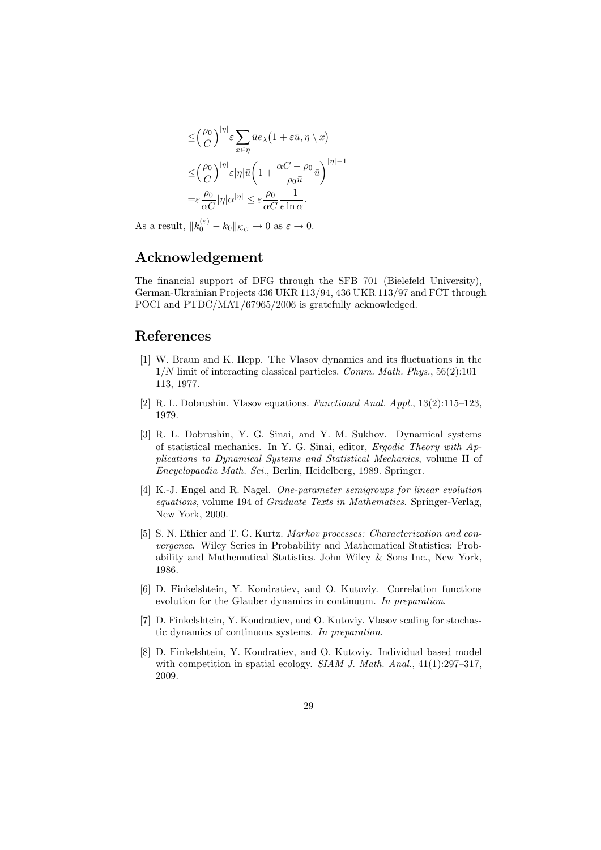$$
\leq \left(\frac{\rho_0}{C}\right)^{|\eta|} \varepsilon \sum_{x \in \eta} \bar{u} e_{\lambda} \left(1 + \varepsilon \bar{u}, \eta \setminus x\right)
$$

$$
\leq \left(\frac{\rho_0}{C}\right)^{|\eta|} \varepsilon |\eta| \bar{u} \left(1 + \frac{\alpha C - \rho_0}{\rho_0 \bar{u}} \bar{u}\right)^{|\eta| - 1}
$$

$$
= \varepsilon \frac{\rho_0}{\alpha C} |\eta| \alpha^{|\eta|} \leq \varepsilon \frac{\rho_0}{\alpha C} \frac{-1}{e \ln \alpha}.
$$

As a result,  $||k_0^{(\varepsilon)} - k_0||_{\mathcal{K}_C} \to 0$  as  $\varepsilon \to 0$ .

## Acknowledgement

The financial support of DFG through the SFB 701 (Bielefeld University), German-Ukrainian Projects 436 UKR 113/94, 436 UKR 113/97 and FCT through POCI and PTDC/MAT/67965/2006 is gratefully acknowledged.

## References

- [1] W. Braun and K. Hepp. The Vlasov dynamics and its fluctuations in the  $1/N$  limit of interacting classical particles. Comm. Math. Phys.,  $56(2):101-$ 113, 1977.
- [2] R. L. Dobrushin. Vlasov equations. Functional Anal. Appl., 13(2):115–123, 1979.
- [3] R. L. Dobrushin, Y. G. Sinai, and Y. M. Sukhov. Dynamical systems of statistical mechanics. In Y. G. Sinai, editor, Ergodic Theory with Applications to Dynamical Systems and Statistical Mechanics, volume II of Encyclopaedia Math. Sci., Berlin, Heidelberg, 1989. Springer.
- [4] K.-J. Engel and R. Nagel. One-parameter semigroups for linear evolution equations, volume 194 of Graduate Texts in Mathematics. Springer-Verlag, New York, 2000.
- [5] S. N. Ethier and T. G. Kurtz. Markov processes: Characterization and convergence. Wiley Series in Probability and Mathematical Statistics: Probability and Mathematical Statistics. John Wiley & Sons Inc., New York, 1986.
- [6] D. Finkelshtein, Y. Kondratiev, and O. Kutoviy. Correlation functions evolution for the Glauber dynamics in continuum. In preparation.
- [7] D. Finkelshtein, Y. Kondratiev, and O. Kutoviy. Vlasov scaling for stochastic dynamics of continuous systems. In preparation.
- [8] D. Finkelshtein, Y. Kondratiev, and O. Kutoviy. Individual based model with competition in spatial ecology. SIAM J. Math. Anal., 41(1):297-317, 2009.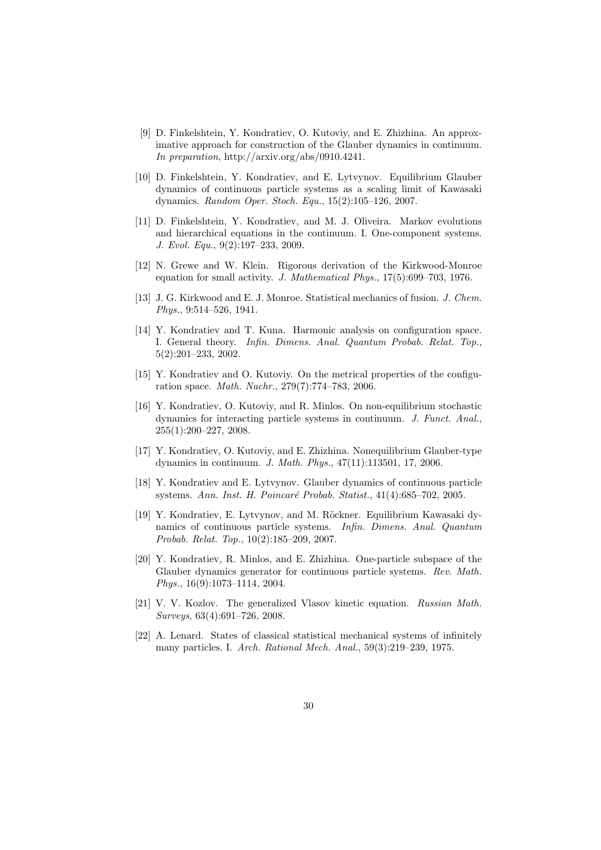- [9] D. Finkelshtein, Y. Kondratiev, O. Kutoviy, and E. Zhizhina. An approximative approach for construction of the Glauber dynamics in continuum. In preparation, http://arxiv.org/abs/0910.4241.
- [10] D. Finkelshtein, Y. Kondratiev, and E. Lytvynov. Equilibrium Glauber dynamics of continuous particle systems as a scaling limit of Kawasaki dynamics. Random Oper. Stoch. Equ., 15(2):105–126, 2007.
- [11] D. Finkelshtein, Y. Kondratiev, and M. J. Oliveira. Markov evolutions and hierarchical equations in the continuum. I. One-component systems. J. Evol. Equ., 9(2):197–233, 2009.
- [12] N. Grewe and W. Klein. Rigorous derivation of the Kirkwood-Monroe equation for small activity. J. Mathematical Phys., 17(5):699–703, 1976.
- [13] J. G. Kirkwood and E. J. Monroe. Statistical mechanics of fusion. J. Chem. Phys., 9:514–526, 1941.
- [14] Y. Kondratiev and T. Kuna. Harmonic analysis on configuration space. I. General theory. Infin. Dimens. Anal. Quantum Probab. Relat. Top. 5(2):201–233, 2002.
- [15] Y. Kondratiev and O. Kutoviy. On the metrical properties of the configuration space. Math. Nachr., 279(7):774–783, 2006.
- [16] Y. Kondratiev, O. Kutoviy, and R. Minlos. On non-equilibrium stochastic dynamics for interacting particle systems in continuum. J. Funct. Anal. 255(1):200–227, 2008.
- [17] Y. Kondratiev, O. Kutoviy, and E. Zhizhina. Nonequilibrium Glauber-type dynamics in continuum. J. Math. Phys., 47(11):113501, 17, 2006.
- [18] Y. Kondratiev and E. Lytvynov. Glauber dynamics of continuous particle systems. Ann. Inst. H. Poincaré Probab. Statist., 41(4):685–702, 2005.
- [19] Y. Kondratiev, E. Lytvynov, and M. Röckner. Equilibrium Kawasaki dynamics of continuous particle systems. Infin. Dimens. Anal. Quantum Probab. Relat. Top., 10(2):185–209, 2007.
- [20] Y. Kondratiev, R. Minlos, and E. Zhizhina. One-particle subspace of the Glauber dynamics generator for continuous particle systems. Rev. Math. Phys., 16(9):1073–1114, 2004.
- [21] V. V. Kozlov. The generalized Vlasov kinetic equation. Russian Math. Surveys, 63(4):691–726, 2008.
- [22] A. Lenard. States of classical statistical mechanical systems of infinitely many particles. I. Arch. Rational Mech. Anal., 59(3):219–239, 1975.